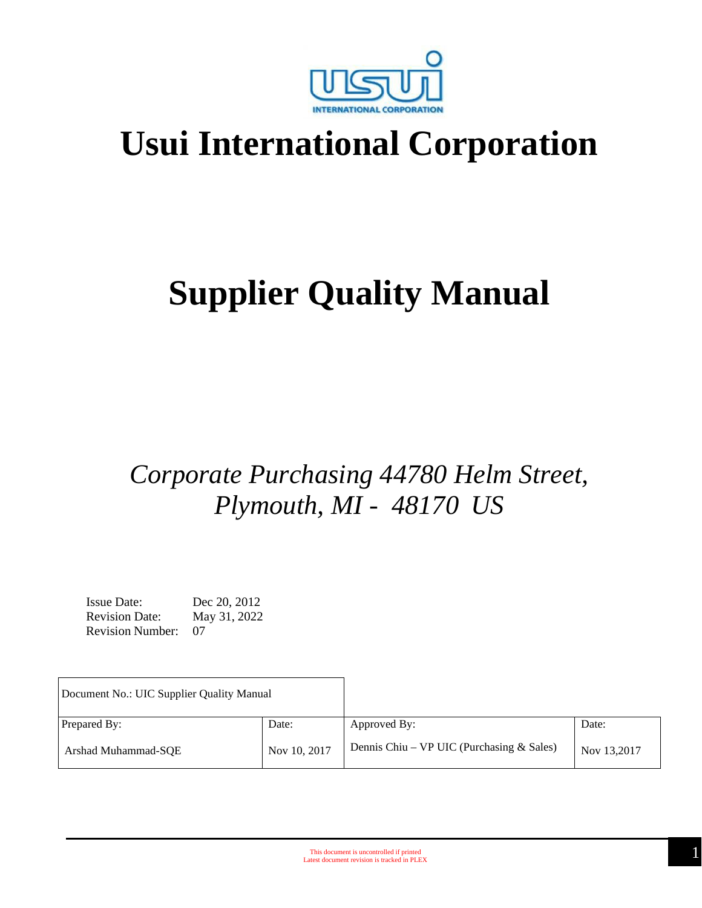

## **Usui International Corporation**

# **Supplier Quality Manual**

## *Corporate Purchasing 44780 Helm Street, Plymouth, MI - 48170 US*

Issue Date: Dec 20, 2012 Revision Date: May 31, 2022 Revision Number: 07

| Document No.: UIC Supplier Quality Manual |              |                                             |             |
|-------------------------------------------|--------------|---------------------------------------------|-------------|
| Prepared By:                              | Date:        | Approved By:                                | Date:       |
| Arshad Muhammad-SOE                       | Nov 10, 2017 | Dennis Chiu – VP UIC (Purchasing $&$ Sales) | Nov 13,2017 |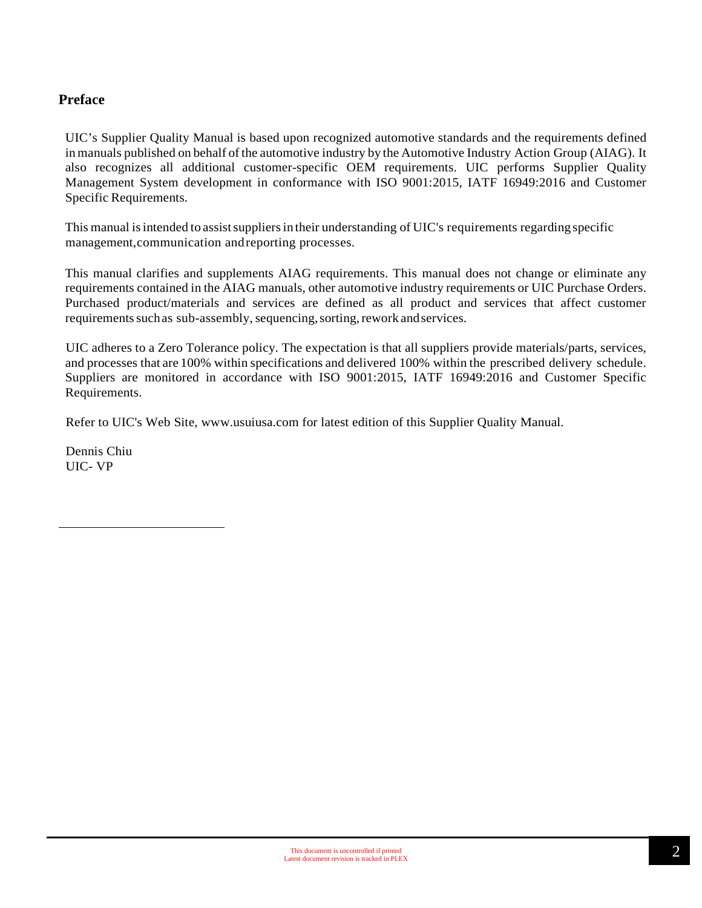#### **Preface**

UIC's Supplier Quality Manual is based upon recognized automotive standards and the requirements defined in manuals published on behalf ofthe automotive industry by the Automotive Industry Action Group (AIAG). It also recognizes all additional customer-specific OEM requirements. UIC performs Supplier Quality Management System development in conformance with ISO 9001:2015, IATF 16949:2016 and Customer Specific Requirements.

This manual is intended to assist suppliers in their understanding of UIC's requirements regarding specific management,communication andreporting processes.

This manual clarifies and supplements AIAG requirements. This manual does not change or eliminate any requirements contained in the AIAG manuals, other automotive industry requirements or UIC Purchase Orders. Purchased product/materials and services are defined as all product and services that affect customer requirements such as sub-assembly, sequencing, sorting, rework and services.

UIC adheres to a Zero Tolerance policy. The expectation is that all suppliers provide materials/parts, services, and processes that are 100% within specifications and delivered 100% within the prescribed delivery schedule. Suppliers are monitored in accordance with ISO 9001:2015, IATF 16949:2016 and Customer Specific Requirements.

Refer to UIC's Web Site, [www.usuiusa.com](http://www.usuiusa.com/) for latest edition of this Supplier Quality Manual.

Dennis Chiu UIC- VP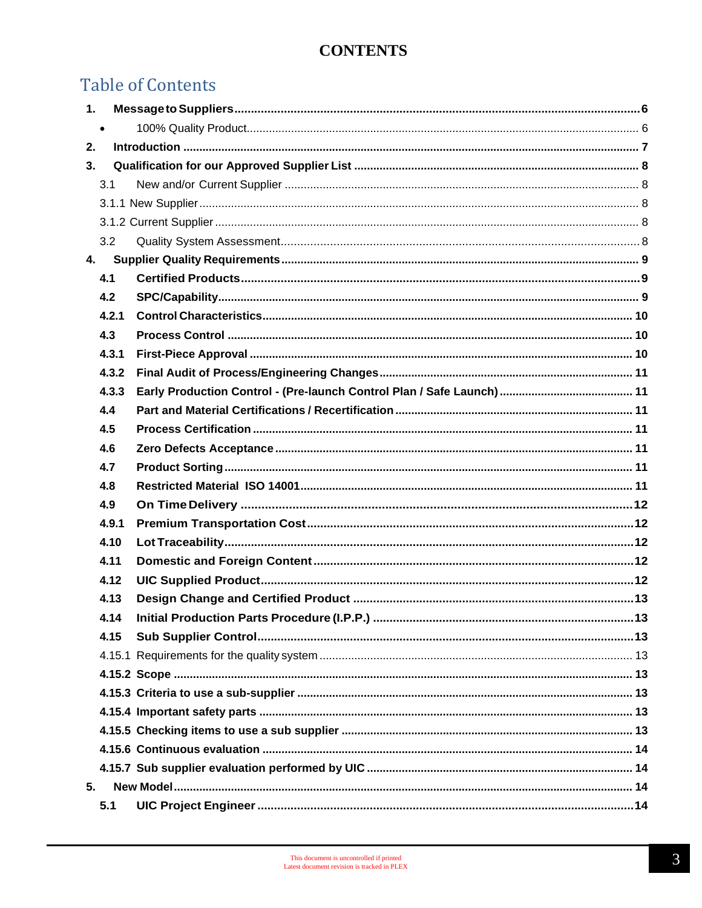## **Table of Contents**

| 1. |           |  |
|----|-----------|--|
|    | $\bullet$ |  |
| 2. |           |  |
| 3. |           |  |
|    | 3.1       |  |
|    |           |  |
|    |           |  |
|    | 3.2       |  |
| 4. |           |  |
|    | 4.1       |  |
|    | 4.2       |  |
|    | 4.2.1     |  |
|    | 4.3       |  |
|    | 4.3.1     |  |
|    | 4.3.2     |  |
|    | 4.3.3     |  |
|    | 4.4       |  |
|    | 4.5       |  |
|    | 4.6       |  |
|    | 4.7       |  |
|    | 4.8       |  |
|    | 4.9       |  |
|    | 4.9.1     |  |
|    | 4.10      |  |
|    | 4.11      |  |
|    | 4.12      |  |
|    | 4.13      |  |
|    | 4.14      |  |
|    | 4.15      |  |
|    |           |  |
|    |           |  |
|    |           |  |
|    |           |  |
|    |           |  |
|    |           |  |
|    |           |  |
| 5. |           |  |
|    | 5.1       |  |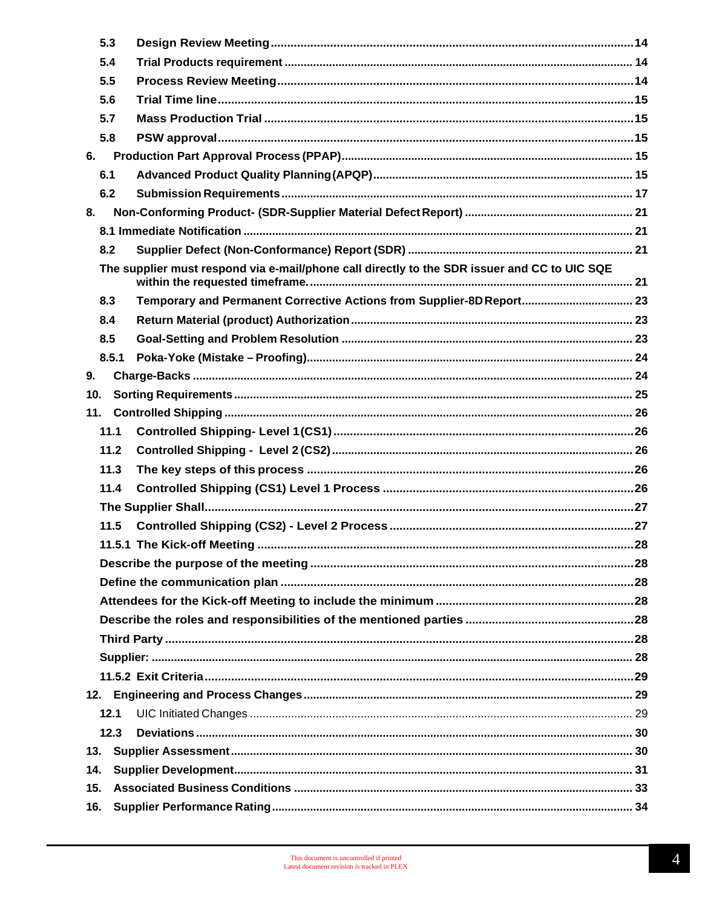| 5.3 |       |                                                                                              |  |
|-----|-------|----------------------------------------------------------------------------------------------|--|
| 5.4 |       |                                                                                              |  |
| 5.5 |       |                                                                                              |  |
| 5.6 |       |                                                                                              |  |
| 5.7 |       |                                                                                              |  |
| 5.8 |       |                                                                                              |  |
| 6.  |       |                                                                                              |  |
| 6.1 |       |                                                                                              |  |
| 6.2 |       |                                                                                              |  |
| 8.  |       |                                                                                              |  |
|     |       |                                                                                              |  |
| 8.2 |       |                                                                                              |  |
|     |       | The supplier must respond via e-mail/phone call directly to the SDR issuer and CC to UIC SQE |  |
| 8.3 |       | Temporary and Permanent Corrective Actions from Supplier-8D Report 23                        |  |
| 8.4 |       |                                                                                              |  |
| 8.5 |       |                                                                                              |  |
|     | 8.5.1 |                                                                                              |  |
| 9.  |       |                                                                                              |  |
| 10. |       |                                                                                              |  |
| 11. |       |                                                                                              |  |
|     | 11.1  |                                                                                              |  |
|     | 11.2  |                                                                                              |  |
|     | 11.3  |                                                                                              |  |
|     | 11.4  |                                                                                              |  |
|     |       |                                                                                              |  |
|     | 11.5  |                                                                                              |  |
|     |       |                                                                                              |  |
|     |       |                                                                                              |  |
|     |       |                                                                                              |  |
|     |       |                                                                                              |  |
|     |       |                                                                                              |  |
|     |       |                                                                                              |  |
|     |       |                                                                                              |  |
|     |       |                                                                                              |  |
|     |       |                                                                                              |  |
|     | 12.1  |                                                                                              |  |
|     | 12.3  |                                                                                              |  |
| 13. |       |                                                                                              |  |
| 14. |       |                                                                                              |  |
| 15. |       |                                                                                              |  |
| 16. |       |                                                                                              |  |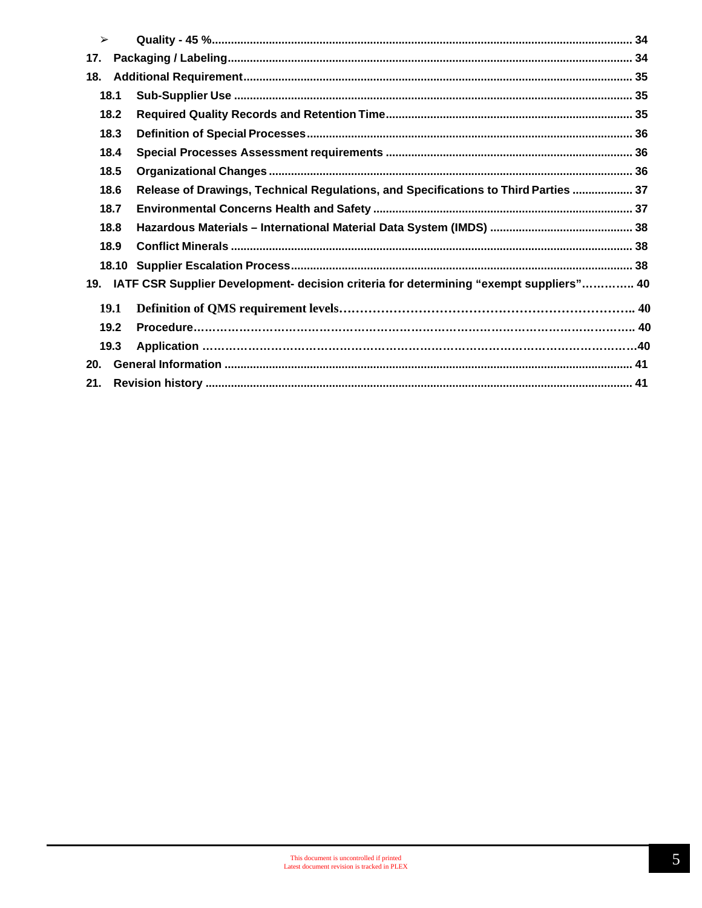| $\blacktriangleright$ |             |                                                                                        |  |
|-----------------------|-------------|----------------------------------------------------------------------------------------|--|
| 17.                   |             |                                                                                        |  |
| 18.                   |             |                                                                                        |  |
|                       | 18.1        |                                                                                        |  |
|                       | 18.2        |                                                                                        |  |
|                       | 18.3        |                                                                                        |  |
|                       | 18.4        |                                                                                        |  |
|                       | 18.5        |                                                                                        |  |
|                       | 18.6        | Release of Drawings, Technical Regulations, and Specifications to Third Parties  37    |  |
|                       | 18.7        |                                                                                        |  |
|                       | 18.8        |                                                                                        |  |
|                       | 18.9        |                                                                                        |  |
|                       |             |                                                                                        |  |
| 19.                   |             | IATF CSR Supplier Development- decision criteria for determining "exempt suppliers" 40 |  |
|                       | <b>19.1</b> |                                                                                        |  |
|                       | 19.2        |                                                                                        |  |
|                       | 19.3        |                                                                                        |  |
| 20.                   |             |                                                                                        |  |
| 21.                   |             |                                                                                        |  |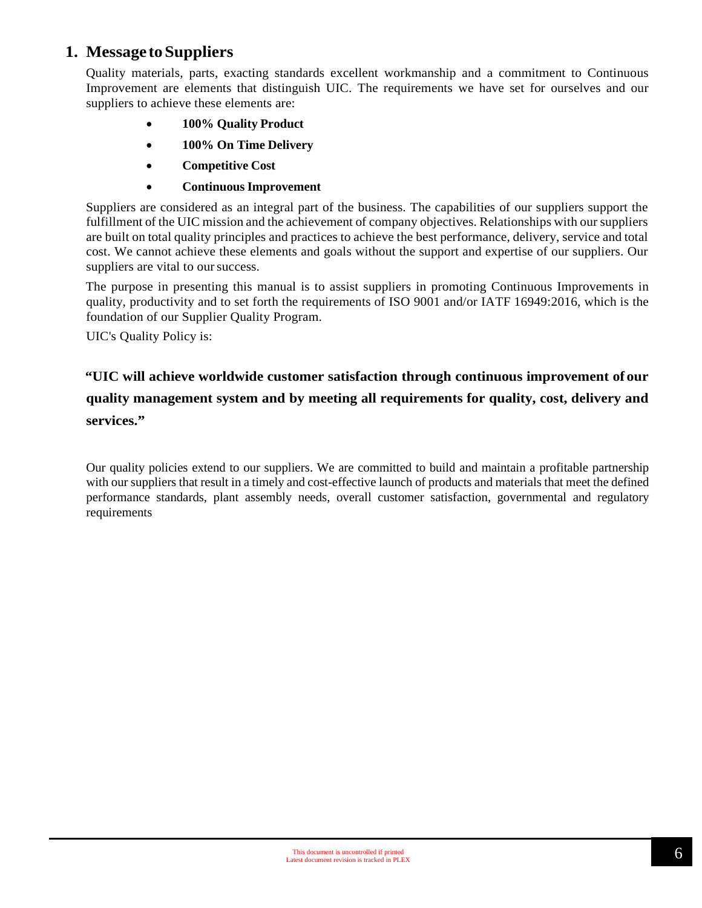## <span id="page-5-0"></span>**1. Message toSuppliers**

<span id="page-5-1"></span>Quality materials, parts, exacting standards excellent workmanship and a commitment to Continuous Improvement are elements that distinguish UIC. The requirements we have set for ourselves and our suppliers to achieve these elements are:

- **100% Quality Product**
- **100% On Time Delivery**
- **Competitive Cost**
- **Continuous Improvement**

Suppliers are considered as an integral part of the business. The capabilities of our suppliers support the fulfillment of the UIC mission and the achievement of company objectives. Relationships with our suppliers are built on total quality principles and practices to achieve the best performance, delivery, service and total cost. We cannot achieve these elements and goals without the support and expertise of our suppliers. Our suppliers are vital to our success.

The purpose in presenting this manual is to assist suppliers in promoting Continuous Improvements in quality, productivity and to set forth the requirements of ISO 9001 and/or IATF 16949:2016, which is the foundation of our Supplier Quality Program.

UIC's Quality Policy is:

## **"UIC will achieve worldwide customer satisfaction through continuous improvement of our quality management system and by meeting all requirements for quality, cost, delivery and services."**

Our quality policies extend to our suppliers. We are committed to build and maintain a profitable partnership with our suppliers that result in a timely and cost-effective launch of products and materials that meet the defined performance standards, plant assembly needs, overall customer satisfaction, governmental and regulatory requirements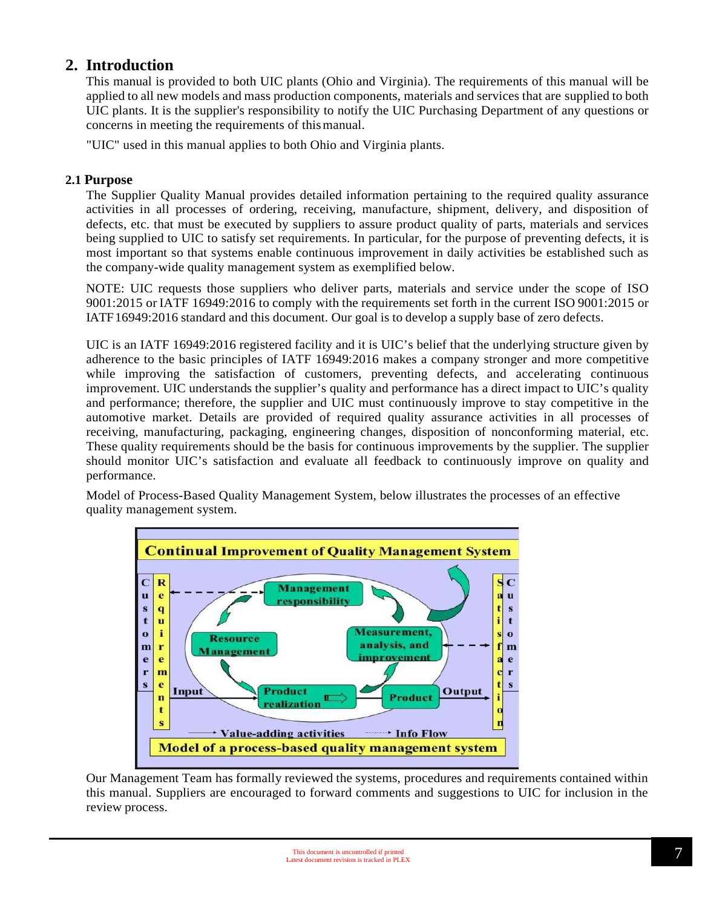## <span id="page-6-0"></span>**2. Introduction**

This manual is provided to both UIC plants (Ohio and Virginia). The requirements of this manual will be applied to all new models and mass production components, materials and services that are supplied to both UIC plants. It is the supplier's responsibility to notify the UIC Purchasing Department of any questions or concerns in meeting the requirements of thismanual.

"UIC" used in this manual applies to both Ohio and Virginia plants.

#### **2.1 Purpose**

The Supplier Quality Manual provides detailed information pertaining to the required quality assurance activities in all processes of ordering, receiving, manufacture, shipment, delivery, and disposition of defects, etc. that must be executed by suppliers to assure product quality of parts, materials and services being supplied to UIC to satisfy set requirements. In particular, for the purpose of preventing defects, it is most important so that systems enable continuous improvement in daily activities be established such as the company-wide quality management system as exemplified below.

NOTE: UIC requests those suppliers who deliver parts, materials and service under the scope of ISO 9001:2015 or IATF 16949:2016 to comply with the requirements set forth in the current ISO 9001:2015 or IATF16949:2016 standard and this document. Our goal is to develop a supply base of zero defects.

UIC is an IATF 16949:2016 registered facility and it is UIC's belief that the underlying structure given by adherence to the basic principles of IATF 16949:2016 makes a company stronger and more competitive while improving the satisfaction of customers, preventing defects, and accelerating continuous improvement. UIC understands the supplier's quality and performance has a direct impact to UIC's quality and performance; therefore, the supplier and UIC must continuously improve to stay competitive in the automotive market. Details are provided of required quality assurance activities in all processes of receiving, manufacturing, packaging, engineering changes, disposition of nonconforming material, etc. These quality requirements should be the basis for continuous improvements by the supplier. The supplier should monitor UIC's satisfaction and evaluate all feedback to continuously improve on quality and performance.

Model of Process-Based Quality Management System, below illustrates the processes of an effective quality management system.



Our Management Team has formally reviewed the systems, procedures and requirements contained within this manual. Suppliers are encouraged to forward comments and suggestions to UIC for inclusion in the review process.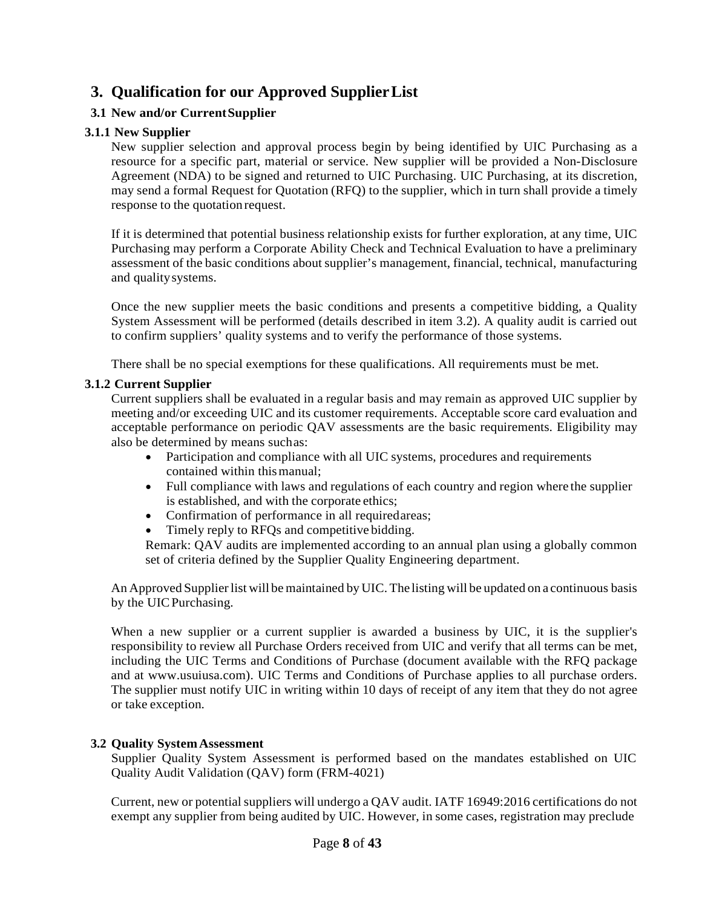## <span id="page-7-0"></span>**3. Qualification for our Approved SupplierList**

#### <span id="page-7-1"></span>**3.1 New and/or CurrentSupplier**

#### <span id="page-7-2"></span>**3.1.1 New Supplier**

New supplier selection and approval process begin by being identified by UIC Purchasing as a resource for a specific part, material or service. New supplier will be provided a Non-Disclosure Agreement (NDA) to be signed and returned to UIC Purchasing. UIC Purchasing, at its discretion, may send a formal Request for Quotation (RFQ) to the supplier, which in turn shall provide a timely response to the quotationrequest.

If it is determined that potential business relationship exists for further exploration, at any time, UIC Purchasing may perform a Corporate Ability Check and Technical Evaluation to have a preliminary assessment of the basic conditions about supplier's management, financial, technical, manufacturing and qualitysystems.

Once the new supplier meets the basic conditions and presents a competitive bidding, a Quality System Assessment will be performed (details described in item 3.2). A quality audit is carried out to confirm suppliers' quality systems and to verify the performance of those systems.

There shall be no special exemptions for these qualifications. All requirements must be met.

#### <span id="page-7-3"></span>**3.1.2 Current Supplier**

Current suppliers shall be evaluated in a regular basis and may remain as approved UIC supplier by meeting and/or exceeding UIC and its customer requirements. Acceptable score card evaluation and acceptable performance on periodic QAV assessments are the basic requirements. Eligibility may also be determined by means suchas:

- Participation and compliance with all UIC systems, procedures and requirements contained within thismanual;
- Full compliance with laws and regulations of each country and region where the supplier is established, and with the corporate ethics;
- Confirmation of performance in all requiredareas;
- Timely reply to RFQs and competitive bidding.

Remark: QAV audits are implemented according to an annual plan using a globally common set of criteria defined by the Supplier Quality Engineering department.

An Approved Supplier list will be maintained by UIC. The listing will be updated on a continuous basis by the UICPurchasing.

When a new supplier or a current supplier is awarded a business by UIC, it is the supplier's responsibility to review all Purchase Orders received from UIC and verify that all terms can be met, including the UIC Terms and Conditions of Purchase (document available with the RFQ package and at www.usuiusa.com). UIC Terms and Conditions of Purchase applies to all purchase orders. The supplier must notify UIC in writing within 10 days of receipt of any item that they do not agree or take exception.

#### <span id="page-7-4"></span>**3.2 Quality SystemAssessment**

Supplier Quality System Assessment is performed based on the mandates established on UIC Quality Audit Validation (QAV) form (FRM-4021)

Current, new or potential suppliers will undergo a OAV audit. IATF 16949:2016 certifications do not exempt any supplier from being audited by UIC. However, in some cases, registration may preclude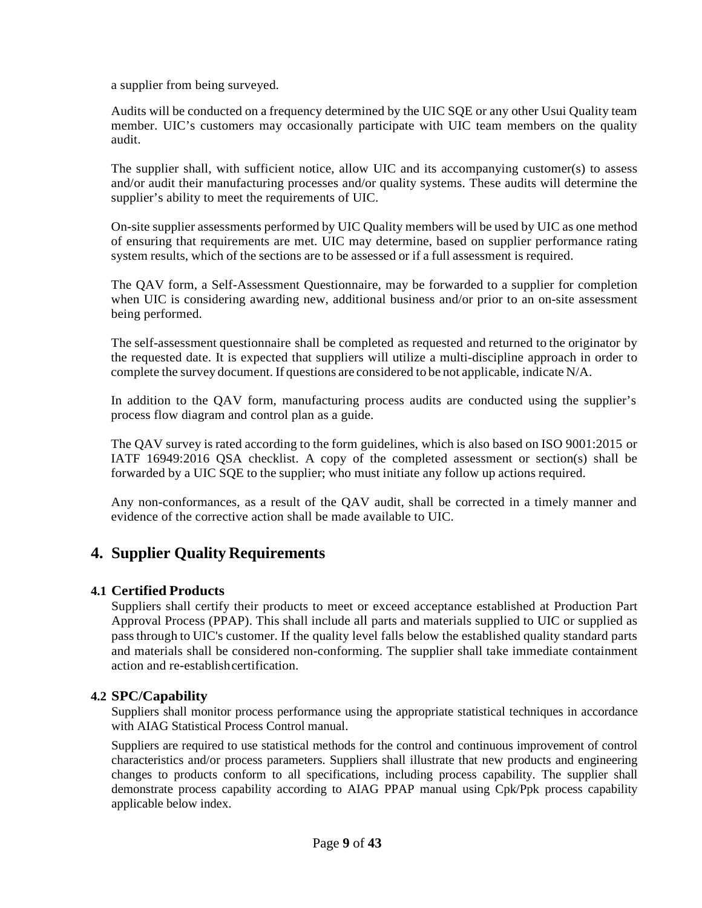a supplier from being surveyed.

Audits will be conducted on a frequency determined by the UIC SQE or any other Usui Quality team member. UIC's customers may occasionally participate with UIC team members on the quality audit.

The supplier shall, with sufficient notice, allow UIC and its accompanying customer(s) to assess and/or audit their manufacturing processes and/or quality systems. These audits will determine the supplier's ability to meet the requirements of UIC.

On-site supplier assessments performed by UIC Quality members will be used by UIC as one method of ensuring that requirements are met. UIC may determine, based on supplier performance rating system results, which of the sections are to be assessed or if a full assessment is required.

The QAV form, a Self-Assessment Questionnaire, may be forwarded to a supplier for completion when UIC is considering awarding new, additional business and/or prior to an on-site assessment being performed.

The self-assessment questionnaire shall be completed as requested and returned to the originator by the requested date. It is expected that suppliers will utilize a multi-discipline approach in order to complete the survey document. If questions are considered to be not applicable, indicate N/A.

In addition to the QAV form, manufacturing process audits are conducted using the supplier's process flow diagram and control plan as a guide.

The QAV survey is rated according to the form guidelines, which is also based on ISO 9001:2015 or IATF 16949:2016 QSA checklist. A copy of the completed assessment or section(s) shall be forwarded by a UIC SQE to the supplier; who must initiate any follow up actions required.

Any non-conformances, as a result of the QAV audit, shall be corrected in a timely manner and evidence of the corrective action shall be made available to UIC.

## <span id="page-8-0"></span>**4. Supplier Quality Requirements**

#### <span id="page-8-1"></span>**4.1 Certified Products**

Suppliers shall certify their products to meet or exceed acceptance established at Production Part Approval Process (PPAP). This shall include all parts and materials supplied to UIC or supplied as passthrough to UIC's customer. If the quality level falls below the established quality standard parts and materials shall be considered non-conforming. The supplier shall take immediate containment action and re-establishcertification.

#### <span id="page-8-2"></span>**4.2 SPC/Capability**

Suppliers shall monitor process performance using the appropriate statistical techniques in accordance with AIAG Statistical Process Control manual.

Suppliers are required to use statistical methods for the control and continuous improvement of control characteristics and/or process parameters. Suppliers shall illustrate that new products and engineering changes to products conform to all specifications, including process capability. The supplier shall demonstrate process capability according to AIAG PPAP manual using Cpk/Ppk process capability applicable below index.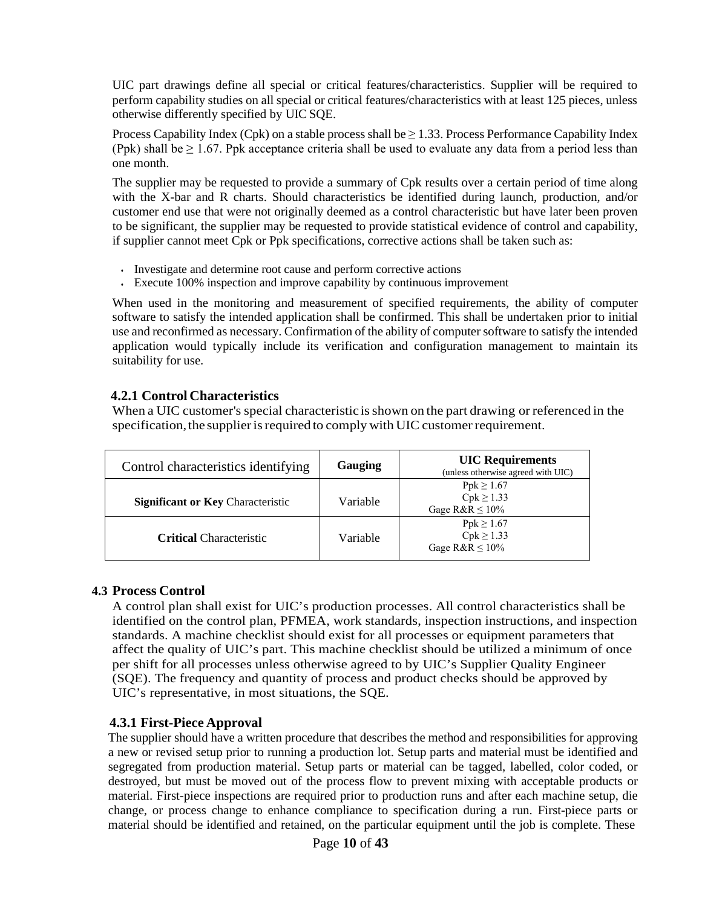UIC part drawings define all special or critical features/characteristics. Supplier will be required to perform capability studies on all special or critical features/characteristics with at least 125 pieces, unless otherwise differently specified by UIC SQE.

Process Capability Index (Cpk) on a stable process shall be  $\geq 1.33$ . Process Performance Capability Index (Ppk) shall be  $\geq 1.67$ . Ppk acceptance criteria shall be used to evaluate any data from a period less than one month.

The supplier may be requested to provide a summary of Cpk results over a certain period of time along with the X-bar and R charts. Should characteristics be identified during launch, production, and/or customer end use that were not originally deemed as a control characteristic but have later been proven to be significant, the supplier may be requested to provide statistical evidence of control and capability, if supplier cannot meet Cpk or Ppk specifications, corrective actions shall be taken such as:

- Investigate and determine root cause and perform corrective actions
- Execute 100% inspection and improve capability by continuous improvement

When used in the monitoring and measurement of specified requirements, the ability of computer software to satisfy the intended application shall be confirmed. This shall be undertaken prior to initial use and reconfirmed as necessary. Confirmation of the ability of computer software to satisfy the intended application would typically include its verification and configuration management to maintain its suitability for use.

#### <span id="page-9-0"></span>**4.2.1 Control Characteristics**

When a UIC customer's special characteristic is shown on the part drawing or referenced in the specification, the supplier is required to comply with UIC customer requirement.

| Control characteristics identifying      | Gauging  | <b>UIC</b> Requirements<br>(unless otherwise agreed with UIC) |  |
|------------------------------------------|----------|---------------------------------------------------------------|--|
| <b>Significant or Key Characteristic</b> | Variable | $Ppk \ge 1.67$<br>$Cpk \ge 1.33$<br>Gage $R&R\leq 10\%$       |  |
| <b>Critical Characteristic</b>           | Variable | $Ppk \ge 1.67$<br>$Cpk \ge 1.33$<br>Gage $R&R\leq 10\%$       |  |

#### <span id="page-9-1"></span>**4.3 Process Control**

A control plan shall exist for UIC's production processes. All control characteristics shall be identified on the control plan, PFMEA, work standards, inspection instructions, and inspection standards. A machine checklist should exist for all processes or equipment parameters that affect the quality of UIC's part. This machine checklist should be utilized a minimum of once per shift for all processes unless otherwise agreed to by UIC's Supplier Quality Engineer (SQE). The frequency and quantity of process and product checks should be approved by UIC's representative, in most situations, the SQE.

#### <span id="page-9-2"></span>**4.3.1 First-Piece Approval**

The supplier should have a written procedure that describes the method and responsibilities for approving a new or revised setup prior to running a production lot. Setup parts and material must be identified and segregated from production material. Setup parts or material can be tagged, labelled, color coded, or destroyed, but must be moved out of the process flow to prevent mixing with acceptable products or material. First-piece inspections are required prior to production runs and after each machine setup, die change, or process change to enhance compliance to specification during a run. First-piece parts or material should be identified and retained, on the particular equipment until the job is complete. These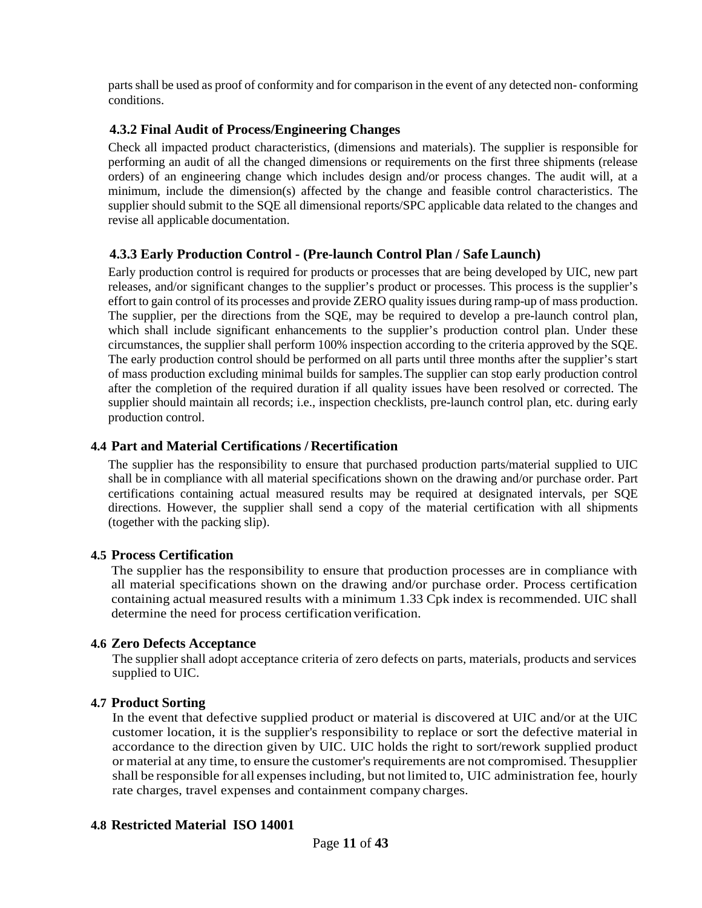parts shall be used as proof of conformity and for comparison in the event of any detected non- conforming conditions.

#### <span id="page-10-0"></span>**4.3.2 Final Audit of Process/Engineering Changes**

Check all impacted product characteristics, (dimensions and materials). The supplier is responsible for performing an audit of all the changed dimensions or requirements on the first three shipments (release orders) of an engineering change which includes design and/or process changes. The audit will, at a minimum, include the dimension(s) affected by the change and feasible control characteristics. The supplier should submit to the SQE all dimensional reports/SPC applicable data related to the changes and revise all applicable documentation.

#### <span id="page-10-1"></span>**4.3.3 Early Production Control - (Pre-launch Control Plan / Safe Launch)**

Early production control is required for products or processes that are being developed by UIC, new part releases, and/or significant changes to the supplier's product or processes. This process is the supplier's effort to gain control of its processes and provide ZERO quality issues during ramp-up of mass production. The supplier, per the directions from the SQE, may be required to develop a pre-launch control plan, which shall include significant enhancements to the supplier's production control plan. Under these circumstances, the supplier shall perform 100% inspection according to the criteria approved by the SQE. The early production control should be performed on all parts until three months after the supplier's start of mass production excluding minimal builds for samples.The supplier can stop early production control after the completion of the required duration if all quality issues have been resolved or corrected. The supplier should maintain all records; i.e., inspection checklists, pre-launch control plan, etc. during early production control.

#### <span id="page-10-2"></span>**4.4 Part and Material Certifications / Recertification**

The supplier has the responsibility to ensure that purchased production parts/material supplied to UIC shall be in compliance with all material specifications shown on the drawing and/or purchase order. Part certifications containing actual measured results may be required at designated intervals, per SQE directions. However, the supplier shall send a copy of the material certification with all shipments (together with the packing slip).

#### <span id="page-10-3"></span>**4.5 Process Certification**

The supplier has the responsibility to ensure that production processes are in compliance with all material specifications shown on the drawing and/or purchase order. Process certification containing actual measured results with a minimum 1.33 Cpk index is recommended. UIC shall determine the need for process certification verification.

#### <span id="page-10-4"></span>**4.6 Zero Defects Acceptance**

The supplier shall adopt acceptance criteria of zero defects on parts, materials, products and services supplied to UIC.

#### <span id="page-10-5"></span>**4.7 Product Sorting**

In the event that defective supplied product or material is discovered at UIC and/or at the UIC customer location, it is the supplier's responsibility to replace or sort the defective material in accordance to the direction given by UIC. UIC holds the right to sort/rework supplied product or material at any time, to ensure the customer's requirements are not compromised. The supplier shall be responsible for all expenses including, but not limited to, UIC administration fee, hourly rate charges, travel expenses and containment company charges.

#### <span id="page-10-6"></span>**4.8 Restricted Material ISO 14001**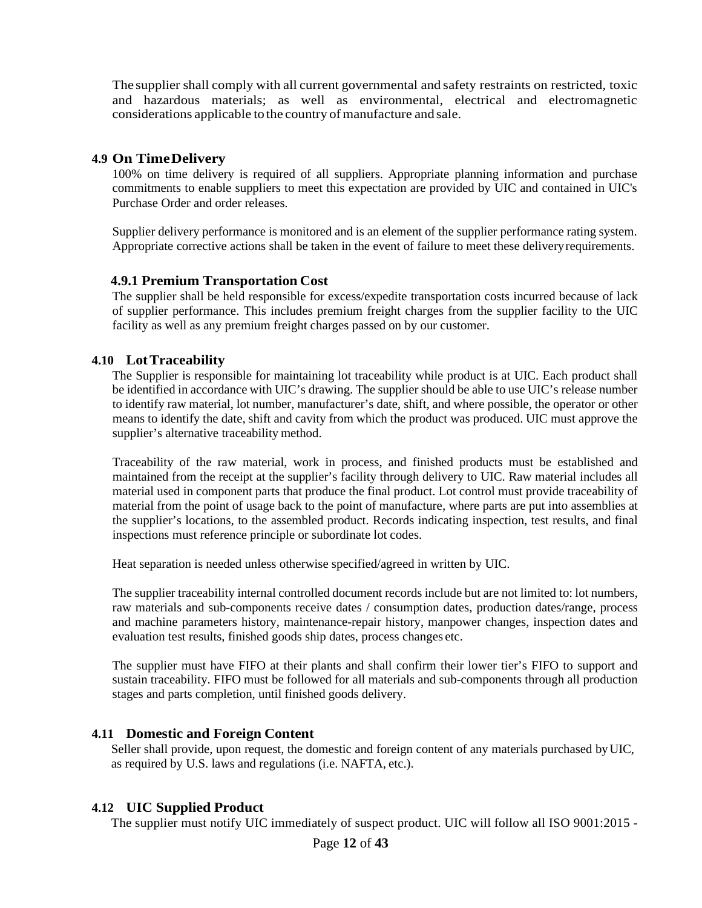The supplier shall comply with all current governmental and safety restraints on restricted, toxic and hazardous materials; as well as environmental, electrical and electromagnetic considerations applicable to the country of manufacture and sale.

#### <span id="page-11-0"></span>**4.9 On TimeDelivery**

100% on time delivery is required of all suppliers. Appropriate planning information and purchase commitments to enable suppliers to meet this expectation are provided by UIC and contained in UIC's Purchase Order and order releases.

Supplier delivery performance is monitored and is an element of the supplier performance rating system. Appropriate corrective actions shall be taken in the event of failure to meet these deliveryrequirements.

#### <span id="page-11-1"></span>**4.9.1 Premium Transportation Cost**

The supplier shall be held responsible for excess/expedite transportation costs incurred because of lack of supplier performance. This includes premium freight charges from the supplier facility to the UIC facility as well as any premium freight charges passed on by our customer.

#### <span id="page-11-2"></span>**4.10 LotTraceability**

The Supplier is responsible for maintaining lot traceability while product is at UIC. Each product shall be identified in accordance with UIC's drawing. The supplier should be able to use UIC's release number to identify raw material, lot number, manufacturer's date, shift, and where possible, the operator or other means to identify the date, shift and cavity from which the product was produced. UIC must approve the supplier's alternative traceability method.

Traceability of the raw material, work in process, and finished products must be established and maintained from the receipt at the supplier's facility through delivery to UIC. Raw material includes all material used in component parts that produce the final product. Lot control must provide traceability of material from the point of usage back to the point of manufacture, where parts are put into assemblies at the supplier's locations, to the assembled product. Records indicating inspection, test results, and final inspections must reference principle or subordinate lot codes.

Heat separation is needed unless otherwise specified/agreed in written by UIC.

The supplier traceability internal controlled document records include but are not limited to: lot numbers, raw materials and sub-components receive dates / consumption dates, production dates/range, process and machine parameters history, maintenance-repair history, manpower changes, inspection dates and evaluation test results, finished goods ship dates, process changes etc.

The supplier must have FIFO at their plants and shall confirm their lower tier's FIFO to support and sustain traceability. FIFO must be followed for all materials and sub-components through all production stages and parts completion, until finished goods delivery.

#### <span id="page-11-3"></span>**4.11 Domestic and Foreign Content**

Seller shall provide, upon request, the domestic and foreign content of any materials purchased byUIC, as required by U.S. laws and regulations (i.e. NAFTA, etc.).

#### <span id="page-11-4"></span>**4.12 UIC Supplied Product**

The supplier must notify UIC immediately of suspect product. UIC will follow all ISO 9001:2015 -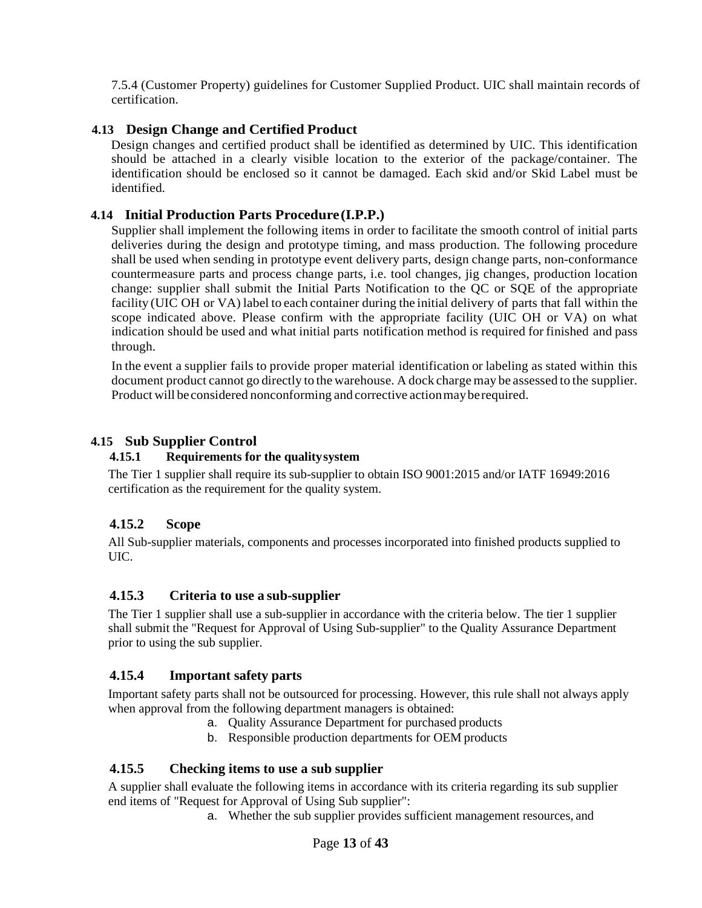7.5.4 (Customer Property) guidelines for Customer Supplied Product. UIC shall maintain records of certification.

#### <span id="page-12-0"></span>**4.13 Design Change and Certified Product**

Design changes and certified product shall be identified as determined by UIC. This identification should be attached in a clearly visible location to the exterior of the package/container. The identification should be enclosed so it cannot be damaged. Each skid and/or Skid Label must be identified.

#### <span id="page-12-1"></span>**4.14 Initial Production Parts Procedure(I.P.P.)**

Supplier shall implement the following items in order to facilitate the smooth control of initial parts deliveries during the design and prototype timing, and mass production. The following procedure shall be used when sending in prototype event delivery parts, design change parts, non-conformance countermeasure parts and process change parts, i.e. tool changes, jig changes, production location change: supplier shall submit the Initial Parts Notification to the QC or SQE of the appropriate facility (UIC OH or VA) label to each container during the initial delivery of parts that fall within the scope indicated above. Please confirm with the appropriate facility (UIC OH or VA) on what indication should be used and what initial parts notification method is required for finished and pass through.

In the event a supplier fails to provide proper material identification or labeling as stated within this document product cannot go directly to the warehouse. A dock charge may be assessed to the supplier. Product will be considered nonconforming and corrective actionmayberequired.

#### <span id="page-12-3"></span><span id="page-12-2"></span>**4.15 Sub Supplier Control**

#### **4.15.1 Requirements for the qualitysystem**

The Tier 1 supplier shall require its sub-supplier to obtain ISO 9001:2015 and/or IATF 16949:2016 certification as the requirement for the quality system.

#### <span id="page-12-4"></span>**4.15.2 Scope**

All Sub-supplier materials, components and processes incorporated into finished products supplied to UIC.

#### <span id="page-12-5"></span>**4.15.3 Criteria to use a sub-supplier**

The Tier 1 supplier shall use a sub-supplier in accordance with the criteria below. The tier 1 supplier shall submit the "Request for Approval of Using Sub-supplier" to the Quality Assurance Department prior to using the sub supplier.

#### <span id="page-12-6"></span>**4.15.4 Important safety parts**

Important safety parts shall not be outsourced for processing. However, this rule shall not always apply when approval from the following department managers is obtained:

- a. Quality Assurance Department for purchased products
- b. Responsible production departments for OEM products

#### <span id="page-12-7"></span>**4.15.5 Checking items to use a sub supplier**

A supplier shall evaluate the following items in accordance with its criteria regarding its sub supplier end items of "Request for Approval of Using Sub supplier":

a. Whether the sub supplier provides sufficient management resources, and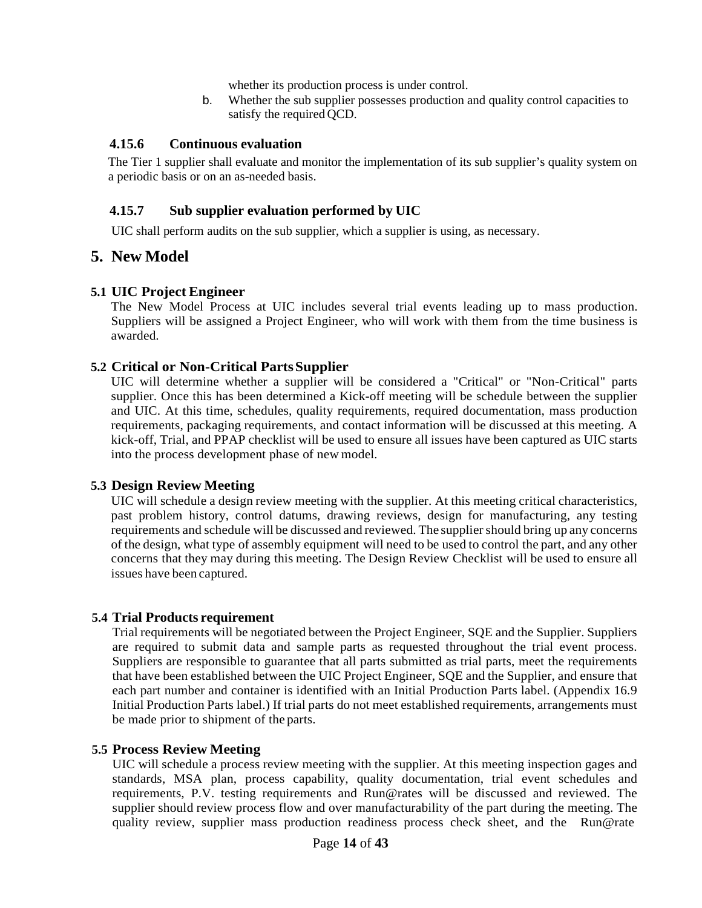whether its production process is under control.

b. Whether the sub supplier possesses production and quality control capacities to satisfy the required QCD.

#### <span id="page-13-0"></span>**4.15.6 Continuous evaluation**

The Tier 1 supplier shall evaluate and monitor the implementation of its sub supplier's quality system on a periodic basis or on an as-needed basis.

#### <span id="page-13-1"></span>**4.15.7 Sub supplier evaluation performed by UIC**

UIC shall perform audits on the sub supplier, which a supplier is using, as necessary.

#### <span id="page-13-2"></span>**5. New Model**

#### <span id="page-13-3"></span>**5.1 UIC Project Engineer**

The New Model Process at UIC includes several trial events leading up to mass production. Suppliers will be assigned a Project Engineer, who will work with them from the time business is awarded.

#### **5.2 Critical or Non-Critical PartsSupplier**

UIC will determine whether a supplier will be considered a "Critical" or "Non-Critical" parts supplier. Once this has been determined a Kick-off meeting will be schedule between the supplier and UIC. At this time, schedules, quality requirements, required documentation, mass production requirements, packaging requirements, and contact information will be discussed at this meeting. A kick-off, Trial, and PPAP checklist will be used to ensure all issues have been captured as UIC starts into the process development phase of new model.

#### <span id="page-13-4"></span>**5.3 Design Review Meeting**

UIC will schedule a design review meeting with the supplier. At this meeting critical characteristics, past problem history, control datums, drawing reviews, design for manufacturing, any testing requirements and schedule will be discussed and reviewed. The supplier should bring up any concerns of the design, what type of assembly equipment will need to be used to control the part, and any other concerns that they may during this meeting. The Design Review Checklist will be used to ensure all issues have been captured.

#### <span id="page-13-5"></span>**5.4 Trial Products requirement**

Trial requirements will be negotiated between the Project Engineer, SQE and the Supplier. Suppliers are required to submit data and sample parts as requested throughout the trial event process. Suppliers are responsible to guarantee that all parts submitted as trial parts, meet the requirements that have been established between the UIC Project Engineer, SQE and the Supplier, and ensure that each part number and container is identified with an Initial Production Parts label. (Appendix 16.9 Initial Production Parts label.) If trial parts do not meet established requirements, arrangements must be made prior to shipment of the parts.

#### <span id="page-13-6"></span>**5.5 Process Review Meeting**

UIC will schedule a process review meeting with the supplier. At this meeting inspection gages and standards, MSA plan, process capability, quality documentation, trial event schedules and requirements, P.V. testing requirements and Run@rates will be discussed and reviewed. The supplier should review process flow and over manufacturability of the part during the meeting. The quality review, supplier mass production readiness process check sheet, and the Run@rate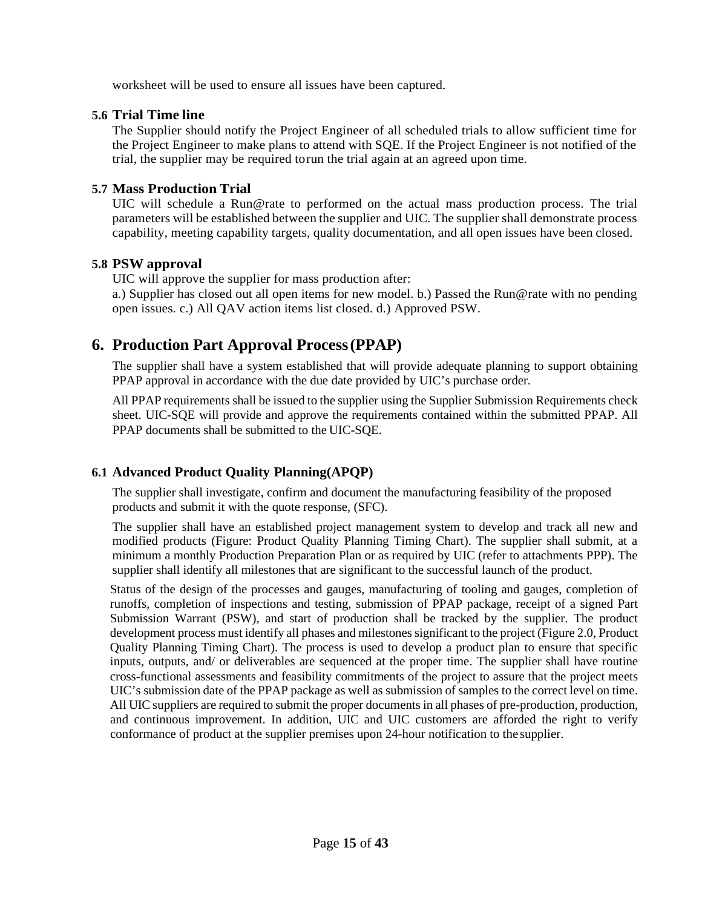worksheet will be used to ensure all issues have been captured.

#### <span id="page-14-0"></span>**5.6 Trial Time line**

The Supplier should notify the Project Engineer of all scheduled trials to allow sufficient time for the Project Engineer to make plans to attend with SQE. If the Project Engineer is not notified of the trial, the supplier may be required torun the trial again at an agreed upon time.

#### <span id="page-14-1"></span>**5.7 Mass Production Trial**

UIC will schedule a Run@rate to performed on the actual mass production process. The trial parameters will be established between the supplier and UIC. The supplier shall demonstrate process capability, meeting capability targets, quality documentation, and all open issues have been closed.

#### <span id="page-14-2"></span>**5.8 PSW approval**

UIC will approve the supplier for mass production after:

a.) Supplier has closed out all open items for new model. b.) Passed the Run@rate with no pending open issues. c.) All QAV action items list closed. d.) Approved PSW.

## <span id="page-14-3"></span>**6. Production Part Approval Process(PPAP)**

The supplier shall have a system established that will provide adequate planning to support obtaining PPAP approval in accordance with the due date provided by UIC's purchase order.

All PPAP requirements shall be issued to the supplier using the Supplier Submission Requirements check sheet. UIC-SQE will provide and approve the requirements contained within the submitted PPAP. All PPAP documents shall be submitted to the UIC-SQE.

#### <span id="page-14-4"></span>**6.1 Advanced Product Quality Planning(APQP)**

The supplier shall investigate, confirm and document the manufacturing feasibility of the proposed products and submit it with the quote response, (SFC).

The supplier shall have an established project management system to develop and track all new and modified products (Figure: Product Quality Planning Timing Chart). The supplier shall submit, at a minimum a monthly Production Preparation Plan or as required by UIC (refer to attachments PPP). The supplier shall identify all milestones that are significant to the successful launch of the product.

Status of the design of the processes and gauges, manufacturing of tooling and gauges, completion of runoffs, completion of inspections and testing, submission of PPAP package, receipt of a signed Part Submission Warrant (PSW), and start of production shall be tracked by the supplier. The product development process must identify all phases and milestones significant to the project (Figure 2.0, Product Quality Planning Timing Chart). The process is used to develop a product plan to ensure that specific inputs, outputs, and/ or deliverables are sequenced at the proper time. The supplier shall have routine cross-functional assessments and feasibility commitments of the project to assure that the project meets UIC's submission date of the PPAP package as well as submission of samples to the correct level on time. All UIC suppliers are required to submit the proper documents in all phases of pre-production, production, and continuous improvement. In addition, UIC and UIC customers are afforded the right to verify conformance of product at the supplier premises upon 24-hour notification to the supplier.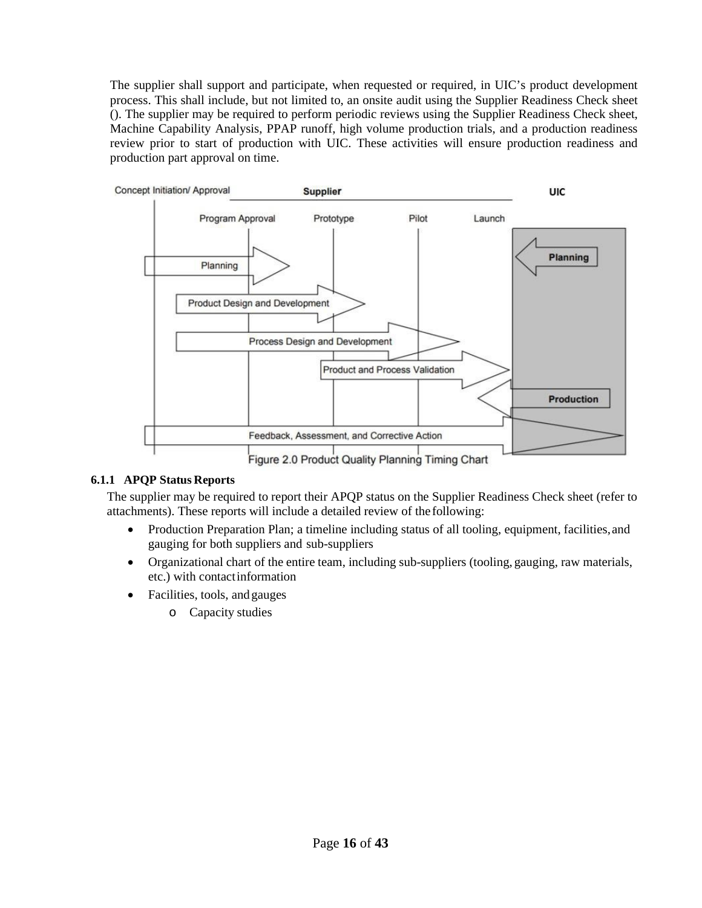The supplier shall support and participate, when requested or required, in UIC's product development process. This shall include, but not limited to, an onsite audit using the Supplier Readiness Check sheet (). The supplier may be required to perform periodic reviews using the Supplier Readiness Check sheet, Machine Capability Analysis, PPAP runoff, high volume production trials, and a production readiness review prior to start of production with UIC. These activities will ensure production readiness and production part approval on time.



#### **6.1.1 APQP Status Reports**

The supplier may be required to report their APQP status on the Supplier Readiness Check sheet (refer to attachments). These reports will include a detailed review of the following:

- Production Preparation Plan; a timeline including status of all tooling, equipment, facilities, and gauging for both suppliers and sub-suppliers
- Organizational chart of the entire team, including sub-suppliers (tooling, gauging, raw materials, etc.) with contactinformation
- Facilities, tools, andgauges
	- o Capacity studies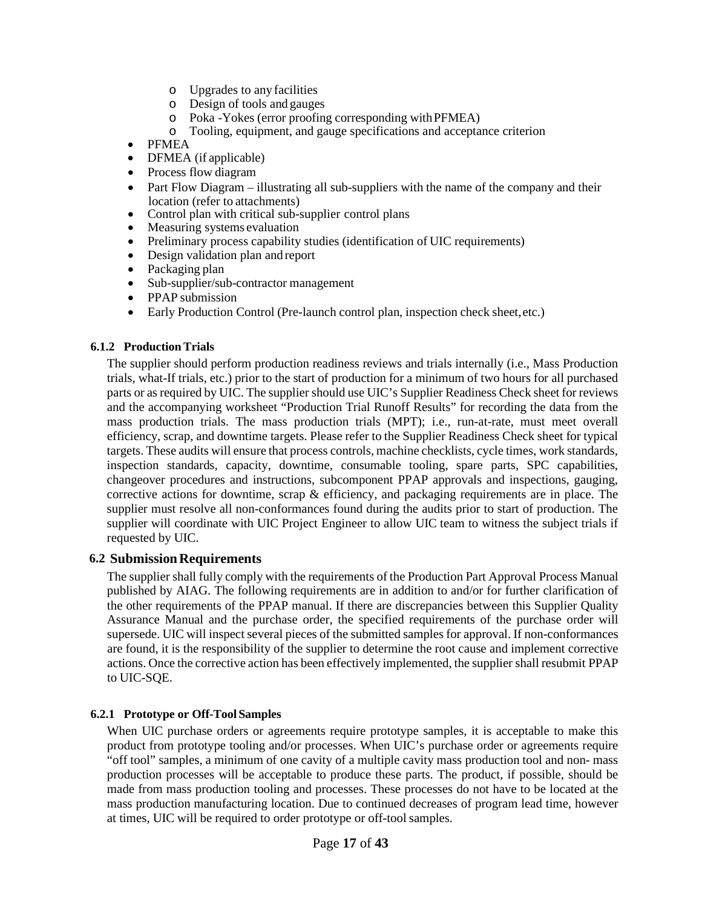- o Upgrades to any facilities
- o Design of tools and gauges
- o Poka -Yokes (error proofing corresponding withPFMEA)
- o Tooling, equipment, and gauge specifications and acceptance criterion
- PFMEA
- DFMEA (if applicable)
- Process flow diagram
- Part Flow Diagram illustrating all sub-suppliers with the name of the company and their location (refer to attachments)
- Control plan with critical sub-supplier control plans
- Measuring systems evaluation
- Preliminary process capability studies (identification of UIC requirements)
- Design validation plan and report
- Packaging plan
- Sub-supplier/sub-contractor management
- PPAP submission
- Early Production Control (Pre-launch control plan, inspection check sheet, etc.)

#### **6.1.2 Production Trials**

The supplier should perform production readiness reviews and trials internally (i.e., Mass Production trials, what-If trials, etc.) prior to the start of production for a minimum of two hours for all purchased parts or asrequired by UIC. The supplier should use UIC's Supplier Readiness Check sheet for reviews and the accompanying worksheet "Production Trial Runoff Results" for recording the data from the mass production trials. The mass production trials (MPT); i.e., run-at-rate, must meet overall efficiency, scrap, and downtime targets. Please refer to the Supplier Readiness Check sheet for typical targets. These audits will ensure that process controls, machine checklists, cycle times, work standards, inspection standards, capacity, downtime, consumable tooling, spare parts, SPC capabilities, changeover procedures and instructions, subcomponent PPAP approvals and inspections, gauging, corrective actions for downtime, scrap  $\&$  efficiency, and packaging requirements are in place. The supplier must resolve all non-conformances found during the audits prior to start of production. The supplier will coordinate with UIC Project Engineer to allow UIC team to witness the subject trials if requested by UIC.

#### <span id="page-16-0"></span>**6.2 SubmissionRequirements**

The supplier shall fully comply with the requirements of the Production Part Approval Process Manual published by AIAG. The following requirements are in addition to and/or for further clarification of the other requirements of the PPAP manual. If there are discrepancies between this Supplier Quality Assurance Manual and the purchase order, the specified requirements of the purchase order will supersede. UIC will inspect several pieces of the submitted samples for approval. If non-conformances are found, it is the responsibility of the supplier to determine the root cause and implement corrective actions. Once the corrective action has been effectively implemented, the supplier shall resubmit PPAP to UIC-SQE.

#### **6.2.1 Prototype or Off-Tool Samples**

When UIC purchase orders or agreements require prototype samples, it is acceptable to make this product from prototype tooling and/or processes. When UIC's purchase order or agreements require "off tool" samples, a minimum of one cavity of a multiple cavity mass production tool and non- mass production processes will be acceptable to produce these parts. The product, if possible, should be made from mass production tooling and processes. These processes do not have to be located at the mass production manufacturing location. Due to continued decreases of program lead time, however at times, UIC will be required to order prototype or off-toolsamples.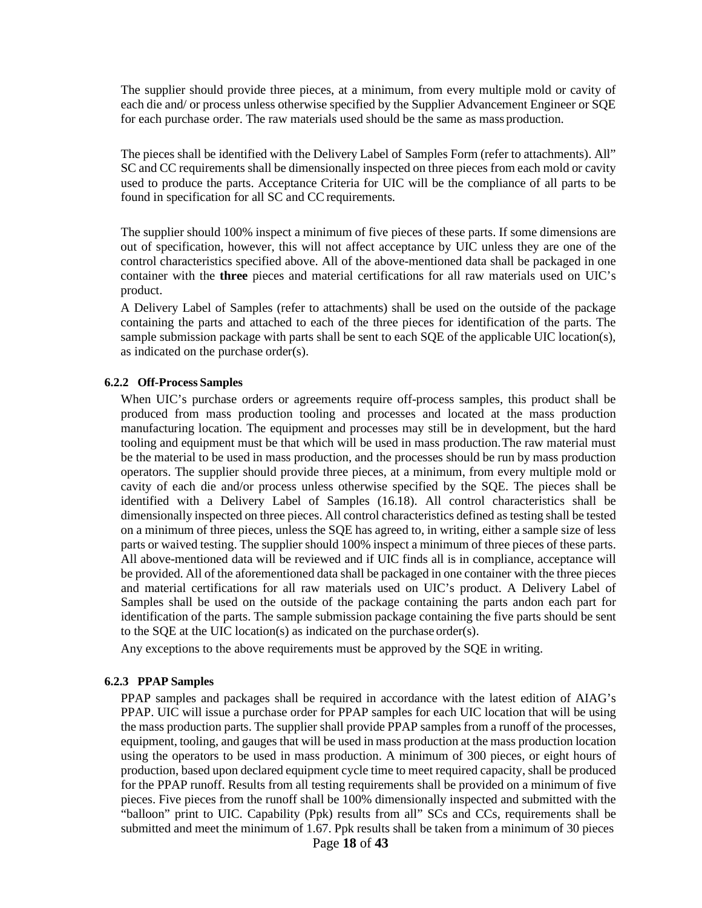The supplier should provide three pieces, at a minimum, from every multiple mold or cavity of each die and/ or process unless otherwise specified by the Supplier Advancement Engineer or SQE for each purchase order. The raw materials used should be the same as mass production.

The pieces shall be identified with the Delivery Label of Samples Form (refer to attachments). All" SC and CC requirements shall be dimensionally inspected on three pieces from each mold or cavity used to produce the parts. Acceptance Criteria for UIC will be the compliance of all parts to be found in specification for all SC and CC requirements.

The supplier should 100% inspect a minimum of five pieces of these parts. If some dimensions are out of specification, however, this will not affect acceptance by UIC unless they are one of the control characteristics specified above. All of the above-mentioned data shall be packaged in one container with the **three** pieces and material certifications for all raw materials used on UIC's product.

A Delivery Label of Samples (refer to attachments) shall be used on the outside of the package containing the parts and attached to each of the three pieces for identification of the parts. The sample submission package with parts shall be sent to each SQE of the applicable UIC location(s), as indicated on the purchase order(s).

#### **6.2.2 Off-Process Samples**

When UIC's purchase orders or agreements require off-process samples, this product shall be produced from mass production tooling and processes and located at the mass production manufacturing location. The equipment and processes may still be in development, but the hard tooling and equipment must be that which will be used in mass production.The raw material must be the material to be used in mass production, and the processes should be run by mass production operators. The supplier should provide three pieces, at a minimum, from every multiple mold or cavity of each die and/or process unless otherwise specified by the SQE. The pieces shall be identified with a Delivery Label of Samples (16.18). All control characteristics shall be dimensionally inspected on three pieces. All control characteristics defined as testing shall be tested on a minimum of three pieces, unless the SQE has agreed to, in writing, either a sample size of less parts or waived testing. The supplier should 100% inspect a minimum of three pieces of these parts. All above-mentioned data will be reviewed and if UIC finds all is in compliance, acceptance will be provided. All of the aforementioned data shall be packaged in one container with the three pieces and material certifications for all raw materials used on UIC's product. A Delivery Label of Samples shall be used on the outside of the package containing the parts andon each part for identification of the parts. The sample submission package containing the five parts should be sent to the SQE at the UIC location(s) as indicated on the purchase order(s).

Any exceptions to the above requirements must be approved by the SQE in writing.

#### **6.2.3 PPAP Samples**

PPAP samples and packages shall be required in accordance with the latest edition of AIAG's PPAP. UIC will issue a purchase order for PPAP samples for each UIC location that will be using the mass production parts. The supplier shall provide PPAP samples from a runoff of the processes, equipment, tooling, and gauges that will be used in mass production at the mass production location using the operators to be used in mass production. A minimum of 300 pieces, or eight hours of production, based upon declared equipment cycle time to meet required capacity, shall be produced for the PPAP runoff. Results from all testing requirements shall be provided on a minimum of five pieces. Five pieces from the runoff shall be 100% dimensionally inspected and submitted with the "balloon" print to UIC. Capability (Ppk) results from all" SCs and CCs, requirements shall be submitted and meet the minimum of 1.67. Ppk results shall be taken from a minimum of 30 pieces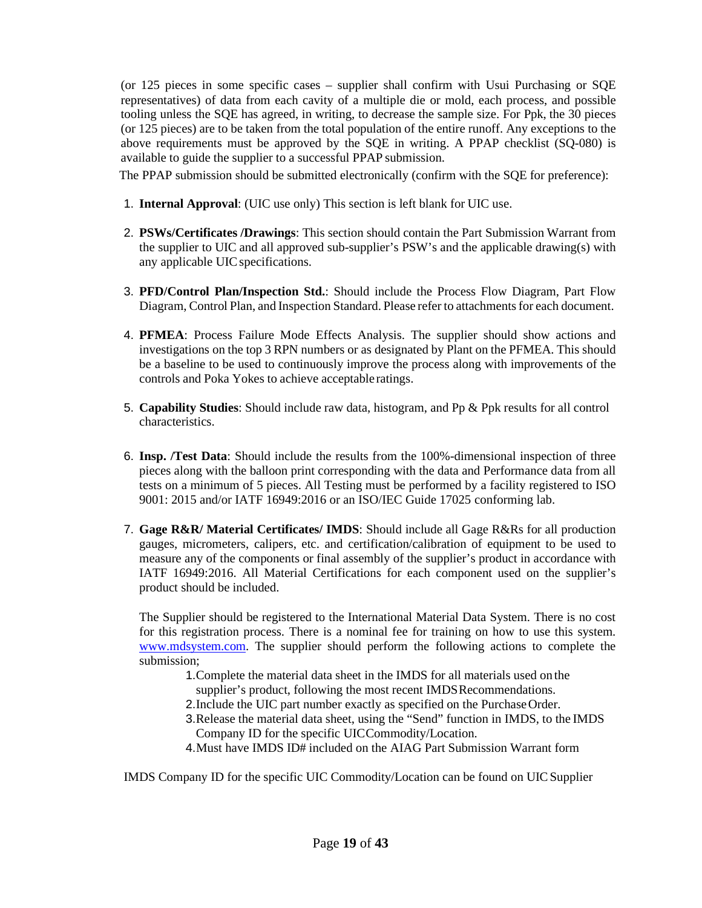(or 125 pieces in some specific cases – supplier shall confirm with Usui Purchasing or SQE representatives) of data from each cavity of a multiple die or mold, each process, and possible tooling unless the SQE has agreed, in writing, to decrease the sample size. For Ppk, the 30 pieces (or 125 pieces) are to be taken from the total population of the entire runoff. Any exceptions to the above requirements must be approved by the SQE in writing. A PPAP checklist (SQ-080) is available to guide the supplier to a successful PPAP submission.

The PPAP submission should be submitted electronically (confirm with the SQE for preference):

- 1. **Internal Approval**: (UIC use only) This section is left blank for UIC use.
- 2. **PSWs/Certificates /Drawings**: This section should contain the Part Submission Warrant from the supplier to UIC and all approved sub-supplier's PSW's and the applicable drawing(s) with any applicable UIC specifications.
- 3. **PFD/Control Plan/Inspection Std.**: Should include the Process Flow Diagram, Part Flow Diagram, Control Plan, and Inspection Standard. Please refer to attachments for each document.
- 4. **PFMEA**: Process Failure Mode Effects Analysis. The supplier should show actions and investigations on the top 3 RPN numbers or as designated by Plant on the PFMEA. This should be a baseline to be used to continuously improve the process along with improvements of the controls and Poka Yokes to achieve acceptable ratings.
- 5. **Capability Studies**: Should include raw data, histogram, and Pp & Ppk results for all control characteristics.
- 6. **Insp. /Test Data**: Should include the results from the 100%-dimensional inspection of three pieces along with the balloon print corresponding with the data and Performance data from all tests on a minimum of 5 pieces. All Testing must be performed by a facility registered to ISO 9001: 2015 and/or IATF 16949:2016 or an ISO/IEC Guide 17025 conforming lab.
- 7. **Gage R&R/ Material Certificates/ IMDS**: Should include all Gage R&Rs for all production gauges, micrometers, calipers, etc. and certification/calibration of equipment to be used to measure any of the components or final assembly of the supplier's product in accordance with IATF 16949:2016. All Material Certifications for each component used on the supplier's product should be included.

The Supplier should be registered to the International Material Data System. There is no cost for this registration process. There is a nominal fee for training on how to use this system. **WWW[.](http://www.mdsystem.com/)mdsystem.com.** The supplier should perform the following actions to complete the submission;

- 1.Complete the material data sheet in the IMDS for all materials used on the supplier's product, following the most recent IMDSRecommendations.
- 2.Include the UIC part number exactly as specified on the PurchaseOrder.
- 3.Release the material data sheet, using the "Send" function in IMDS, to the IMDS Company ID for the specific UICCommodity/Location.
- 4.Must have IMDS ID# included on the AIAG Part Submission Warrant form

IMDS Company ID for the specific UIC Commodity/Location can be found on UICSupplier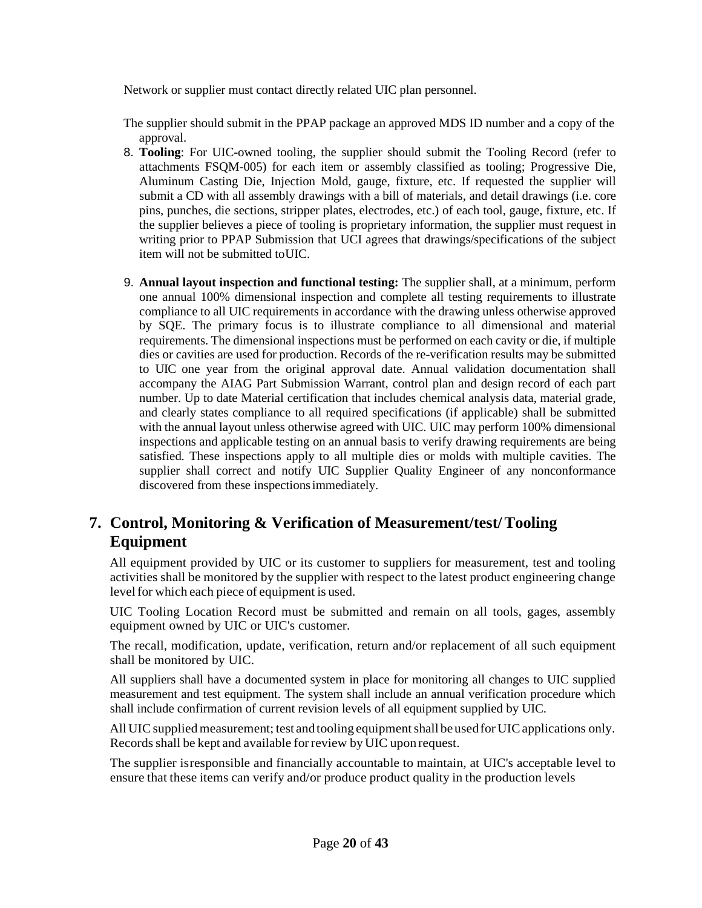Network or supplier must contact directly related UIC plan personnel.

The supplier should submit in the PPAP package an approved MDS ID number and a copy of the approval.

- 8. **Tooling**: For UIC-owned tooling, the supplier should submit the Tooling Record (refer to attachments FSQM-005) for each item or assembly classified as tooling; Progressive Die, Aluminum Casting Die, Injection Mold, gauge, fixture, etc. If requested the supplier will submit a CD with all assembly drawings with a bill of materials, and detail drawings (i.e. core pins, punches, die sections, stripper plates, electrodes, etc.) of each tool, gauge, fixture, etc. If the supplier believes a piece of tooling is proprietary information, the supplier must request in writing prior to PPAP Submission that UCI agrees that drawings/specifications of the subject item will not be submitted toUIC.
- 9. **Annual layout inspection and functional testing:** The supplier shall, at a minimum, perform one annual 100% dimensional inspection and complete all testing requirements to illustrate compliance to all UIC requirements in accordance with the drawing unless otherwise approved by SQE. The primary focus is to illustrate compliance to all dimensional and material requirements. The dimensional inspections must be performed on each cavity or die, if multiple dies or cavities are used for production. Records of the re-verification results may be submitted to UIC one year from the original approval date. Annual validation documentation shall accompany the AIAG Part Submission Warrant, control plan and design record of each part number. Up to date Material certification that includes chemical analysis data, material grade, and clearly states compliance to all required specifications (if applicable) shall be submitted with the annual layout unless otherwise agreed with UIC. UIC may perform 100% dimensional inspections and applicable testing on an annual basis to verify drawing requirements are being satisfied. These inspections apply to all multiple dies or molds with multiple cavities. The supplier shall correct and notify UIC Supplier Quality Engineer of any nonconformance discovered from these inspectionsimmediately.

## **7. Control, Monitoring & Verification of Measurement/test/Tooling Equipment**

All equipment provided by UIC or its customer to suppliers for measurement, test and tooling activities shall be monitored by the supplier with respect to the latest product engineering change level for which each piece of equipment is used.

UIC Tooling Location Record must be submitted and remain on all tools, gages, assembly equipment owned by UIC or UIC's customer.

The recall, modification, update, verification, return and/or replacement of all such equipment shall be monitored by UIC.

All suppliers shall have a documented system in place for monitoring all changes to UIC supplied measurement and test equipment. The system shall include an annual verification procedure which shall include confirmation of current revision levels of all equipment supplied by UIC.

All UIC supplied measurement; test and tooling equipment shall be used for UIC applications only. Records shall be kept and available for review by UIC upon request.

The supplier isresponsible and financially accountable to maintain, at UIC's acceptable level to ensure that these items can verify and/or produce product quality in the production levels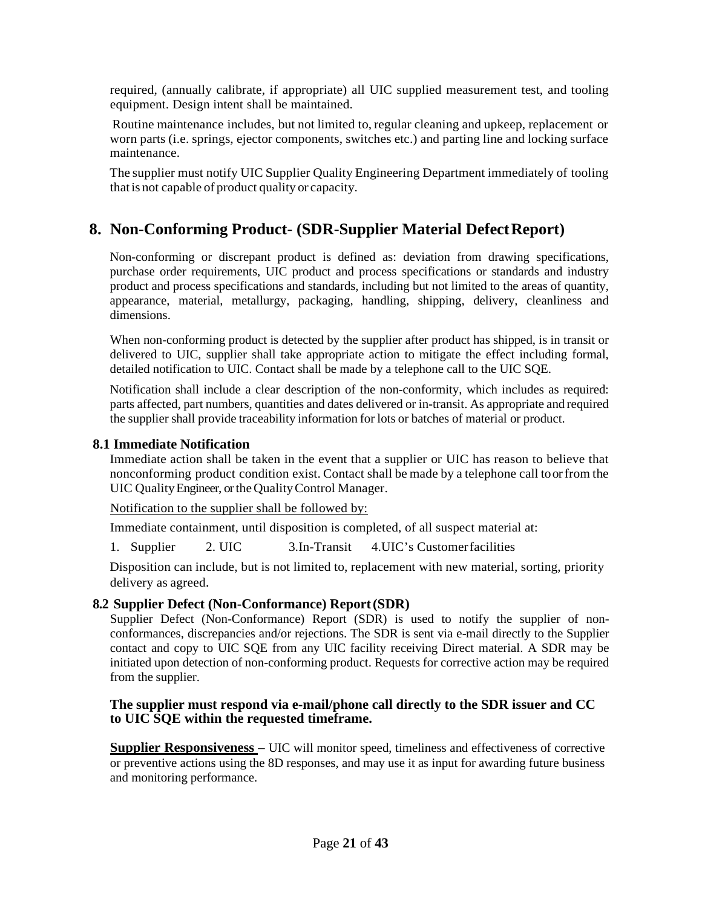required, (annually calibrate, if appropriate) all UIC supplied measurement test, and tooling equipment. Design intent shall be maintained.

Routine maintenance includes, but not limited to, regular cleaning and upkeep, replacement or worn parts (i.e. springs, ejector components, switches etc.) and parting line and locking surface maintenance.

The supplier must notify UIC Supplier Quality Engineering Department immediately of tooling thatis not capable of product quality or capacity.

## <span id="page-20-0"></span>**8. Non-Conforming Product- (SDR-Supplier Material DefectReport)**

Non-conforming or discrepant product is defined as: deviation from drawing specifications, purchase order requirements, UIC product and process specifications or standards and industry product and process specifications and standards, including but not limited to the areas of quantity, appearance, material, metallurgy, packaging, handling, shipping, delivery, cleanliness and dimensions.

When non-conforming product is detected by the supplier after product has shipped, is in transit or delivered to UIC, supplier shall take appropriate action to mitigate the effect including formal, detailed notification to UIC. Contact shall be made by a telephone call to the UIC SQE.

Notification shall include a clear description of the non-conformity, which includes as required: parts affected, part numbers, quantities and dates delivered or in-transit. As appropriate and required the supplier shall provide traceability information for lots or batches of material or product.

#### <span id="page-20-1"></span>**8.1 Immediate Notification**

Immediate action shall be taken in the event that a supplier or UIC has reason to believe that nonconforming product condition exist. Contact shall be made by a telephone call toorfrom the UIC Quality Engineer, or the Quality Control Manager.

Notification to the supplier shall be followed by:

Immediate containment, until disposition is completed, of all suspect material at:

1. Supplier 2. UIC 3.In-Transit 4.UIC's Customerfacilities

Disposition can include, but is not limited to, replacement with new material, sorting, priority delivery as agreed.

#### <span id="page-20-2"></span>**8.2 Supplier Defect (Non-Conformance) Report(SDR)**

Supplier Defect (Non-Conformance) Report (SDR) is used to notify the supplier of nonconformances, discrepancies and/or rejections. The SDR is sent via e-mail directly to the Supplier contact and copy to UIC SQE from any UIC facility receiving Direct material. A SDR may be initiated upon detection of non-conforming product. Requests for corrective action may be required from the supplier.

#### <span id="page-20-3"></span>**The supplier must respond via e-mail/phone call directly to the SDR issuer and CC to UIC SQE within the requested timeframe.**

**Supplier Responsiveness** – UIC will monitor speed, timeliness and effectiveness of corrective or preventive actions using the 8D responses, and may use it as input for awarding future business and monitoring performance.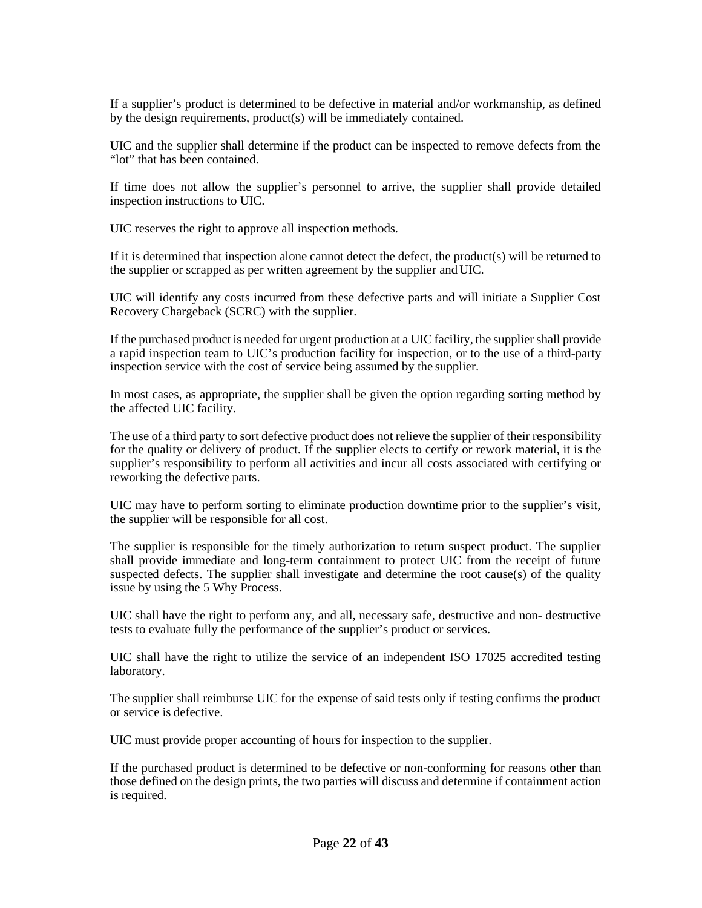If a supplier's product is determined to be defective in material and/or workmanship, as defined by the design requirements, product(s) will be immediately contained.

UIC and the supplier shall determine if the product can be inspected to remove defects from the "lot" that has been contained.

If time does not allow the supplier's personnel to arrive, the supplier shall provide detailed inspection instructions to UIC.

UIC reserves the right to approve all inspection methods.

If it is determined that inspection alone cannot detect the defect, the product(s) will be returned to the supplier or scrapped as per written agreement by the supplier andUIC.

UIC will identify any costs incurred from these defective parts and will initiate a Supplier Cost Recovery Chargeback (SCRC) with the supplier.

If the purchased product is needed for urgent production at a UIC facility, the supplier shall provide a rapid inspection team to UIC's production facility for inspection, or to the use of a third-party inspection service with the cost of service being assumed by the supplier.

In most cases, as appropriate, the supplier shall be given the option regarding sorting method by the affected UIC facility.

The use of a third party to sort defective product does not relieve the supplier of their responsibility for the quality or delivery of product. If the supplier elects to certify or rework material, it is the supplier's responsibility to perform all activities and incur all costs associated with certifying or reworking the defective parts.

UIC may have to perform sorting to eliminate production downtime prior to the supplier's visit, the supplier will be responsible for all cost.

The supplier is responsible for the timely authorization to return suspect product. The supplier shall provide immediate and long-term containment to protect UIC from the receipt of future suspected defects. The supplier shall investigate and determine the root cause(s) of the quality issue by using the 5 Why Process.

UIC shall have the right to perform any, and all, necessary safe, destructive and non- destructive tests to evaluate fully the performance of the supplier's product or services.

UIC shall have the right to utilize the service of an independent ISO 17025 accredited testing laboratory.

The supplier shall reimburse UIC for the expense of said tests only if testing confirms the product or service is defective.

UIC must provide proper accounting of hours for inspection to the supplier.

If the purchased product is determined to be defective or non-conforming for reasons other than those defined on the design prints, the two parties will discuss and determine if containment action is required.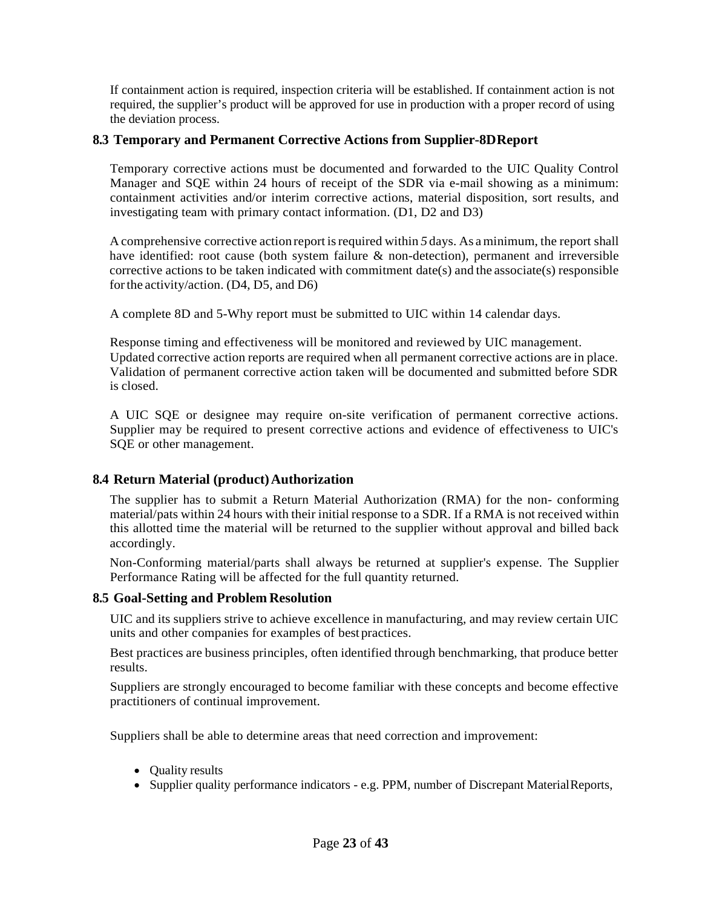If containment action is required, inspection criteria will be established. If containment action is not required, the supplier's product will be approved for use in production with a proper record of using the deviation process.

#### <span id="page-22-0"></span>**8.3 Temporary and Permanent Corrective Actions from Supplier-8DReport**

Temporary corrective actions must be documented and forwarded to the UIC Quality Control Manager and SQE within 24 hours of receipt of the SDR via e-mail showing as a minimum: containment activities and/or interim corrective actions, material disposition, sort results, and investigating team with primary contact information. (D1, D2 and D3)

A comprehensive corrective action report isrequired within *5* days. As aminimum, the report shall have identified: root cause (both system failure & non-detection), permanent and irreversible corrective actions to be taken indicated with commitment date(s) and the associate(s) responsible forthe activity/action. (D4, D5, and D6)

A complete 8D and 5-Why report must be submitted to UIC within 14 calendar days.

Response timing and effectiveness will be monitored and reviewed by UIC management. Updated corrective action reports are required when all permanent corrective actions are in place. Validation of permanent corrective action taken will be documented and submitted before SDR is closed.

A UIC SQE or designee may require on-site verification of permanent corrective actions. Supplier may be required to present corrective actions and evidence of effectiveness to UIC's SQE or other management.

#### <span id="page-22-1"></span>**8.4 Return Material (product)Authorization**

The supplier has to submit a Return Material Authorization (RMA) for the non- conforming material/pats within 24 hours with their initial response to a SDR. If a RMA is not received within this allotted time the material will be returned to the supplier without approval and billed back accordingly.

Non-Conforming material/parts shall always be returned at supplier's expense. The Supplier Performance Rating will be affected for the full quantity returned.

#### <span id="page-22-2"></span>**8.5 Goal-Setting and Problem Resolution**

UIC and its suppliers strive to achieve excellence in manufacturing, and may review certain UIC units and other companies for examples of best practices.

Best practices are business principles, often identified through benchmarking, that produce better results.

Suppliers are strongly encouraged to become familiar with these concepts and become effective practitioners of continual improvement.

Suppliers shall be able to determine areas that need correction and improvement:

- Quality results
- Supplier quality performance indicators e.g. PPM, number of Discrepant MaterialReports,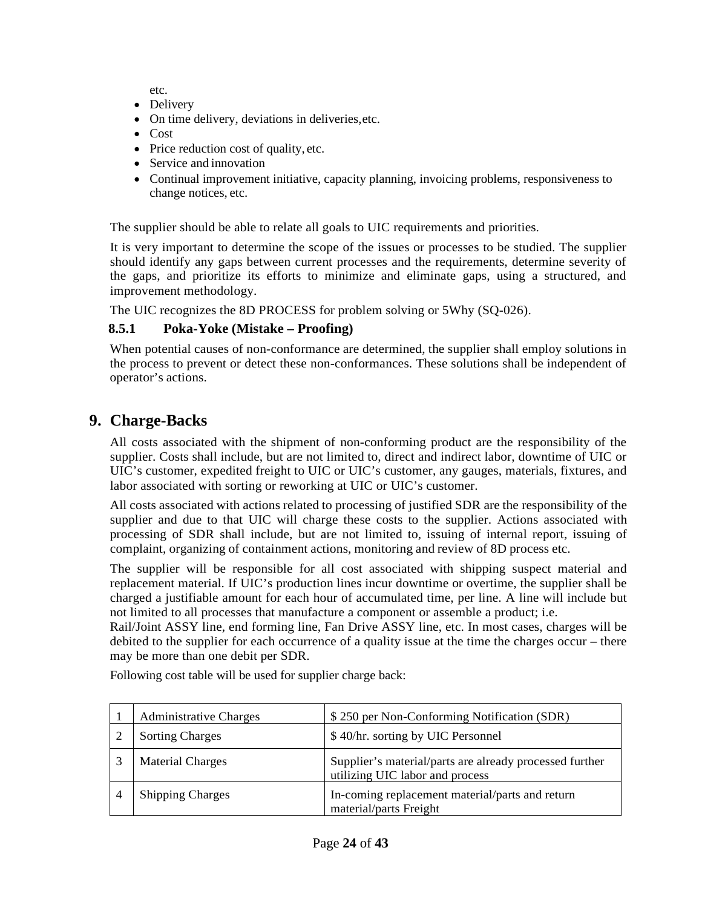etc.

- Delivery
- On time delivery, deviations in deliveries,etc.
- Cost
- Price reduction cost of quality, etc.
- Service and innovation
- Continual improvement initiative, capacity planning, invoicing problems, responsiveness to change notices, etc.

The supplier should be able to relate all goals to UIC requirements and priorities.

It is very important to determine the scope of the issues or processes to be studied. The supplier should identify any gaps between current processes and the requirements, determine severity of the gaps, and prioritize its efforts to minimize and eliminate gaps, using a structured, and improvement methodology.

The UIC recognizes the 8D PROCESS for problem solving or 5Why (SQ-026).

### <span id="page-23-0"></span>**8.5.1 Poka-Yoke (Mistake – Proofing)**

When potential causes of non-conformance are determined, the supplier shall employ solutions in the process to prevent or detect these non-conformances. These solutions shall be independent of operator's actions.

## <span id="page-23-1"></span>**9. Charge-Backs**

All costs associated with the shipment of non-conforming product are the responsibility of the supplier. Costs shall include, but are not limited to, direct and indirect labor, downtime of UIC or UIC's customer, expedited freight to UIC or UIC's customer, any gauges, materials, fixtures, and labor associated with sorting or reworking at UIC or UIC's customer.

All costs associated with actions related to processing of justified SDR are the responsibility of the supplier and due to that UIC will charge these costs to the supplier. Actions associated with processing of SDR shall include, but are not limited to, issuing of internal report, issuing of complaint, organizing of containment actions, monitoring and review of 8D process etc.

The supplier will be responsible for all cost associated with shipping suspect material and replacement material. If UIC's production lines incur downtime or overtime, the supplier shall be charged a justifiable amount for each hour of accumulated time, per line. A line will include but not limited to all processes that manufacture a component or assemble a product; i.e.

Rail/Joint ASSY line, end forming line, Fan Drive ASSY line, etc. In most cases, charges will be debited to the supplier for each occurrence of a quality issue at the time the charges occur – there may be more than one debit per SDR.

| <b>Administrative Charges</b> | \$250 per Non-Conforming Notification (SDR)                                                |  |
|-------------------------------|--------------------------------------------------------------------------------------------|--|
| <b>Sorting Charges</b>        | \$40/hr. sorting by UIC Personnel                                                          |  |
| <b>Material Charges</b>       | Supplier's material/parts are already processed further<br>utilizing UIC labor and process |  |
| <b>Shipping Charges</b>       | In-coming replacement material/parts and return<br>material/parts Freight                  |  |

Following cost table will be used for supplier charge back: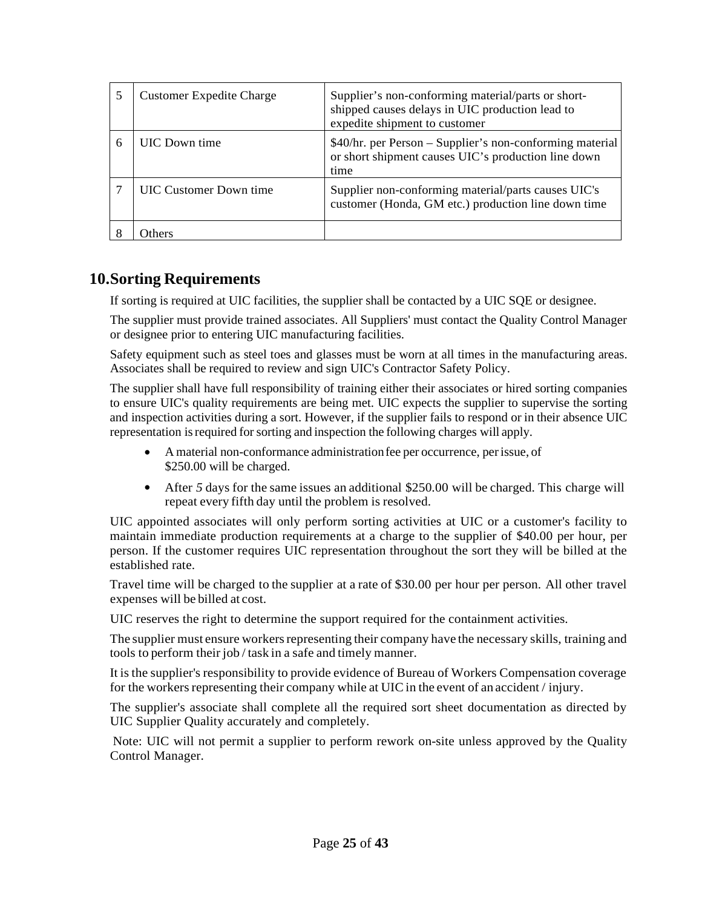|   | <b>Customer Expedite Charge</b> | Supplier's non-conforming material/parts or short-<br>shipped causes delays in UIC production lead to<br>expedite shipment to customer |
|---|---------------------------------|----------------------------------------------------------------------------------------------------------------------------------------|
| 6 | <b>UIC</b> Down time            | \$40/hr. per Person - Supplier's non-conforming material<br>or short shipment causes UIC's production line down<br>time                |
|   | <b>UIC Customer Down time</b>   | Supplier non-conforming material/parts causes UIC's<br>customer (Honda, GM etc.) production line down time                             |
|   | <b>Thers</b>                    |                                                                                                                                        |

## <span id="page-24-0"></span>**10.Sorting Requirements**

If sorting is required at UIC facilities, the supplier shall be contacted by a UIC SQE or designee.

The supplier must provide trained associates. All Suppliers' must contact the Quality Control Manager or designee prior to entering UIC manufacturing facilities.

Safety equipment such as steel toes and glasses must be worn at all times in the manufacturing areas. Associates shall be required to review and sign UIC's Contractor Safety Policy.

The supplier shall have full responsibility of training either their associates or hired sorting companies to ensure UIC's quality requirements are being met. UIC expects the supplier to supervise the sorting and inspection activities during a sort. However, if the supplier fails to respond or in their absence UIC representation is required for sorting and inspection the following charges will apply.

- A material non-conformance administrationfee per occurrence, perissue, of \$250.00 will be charged.
- After 5 days for the same issues an additional \$250.00 will be charged. This charge will repeat every fifth day until the problem is resolved.

UIC appointed associates will only perform sorting activities at UIC or a customer's facility to maintain immediate production requirements at a charge to the supplier of \$40.00 per hour, per person. If the customer requires UIC representation throughout the sort they will be billed at the established rate.

Travel time will be charged to the supplier at a rate of \$30.00 per hour per person. All other travel expenses will be billed at cost.

UIC reserves the right to determine the support required for the containment activities.

The supplier must ensure workers representing their company have the necessary skills, training and tools to perform their job / task in a safe and timely manner.

It is the supplier's responsibility to provide evidence of Bureau of Workers Compensation coverage for the workers representing their company while at UIC in the event of an accident / injury.

The supplier's associate shall complete all the required sort sheet documentation as directed by UIC Supplier Quality accurately and completely.

Note: UIC will not permit a supplier to perform rework on-site unless approved by the Quality Control Manager.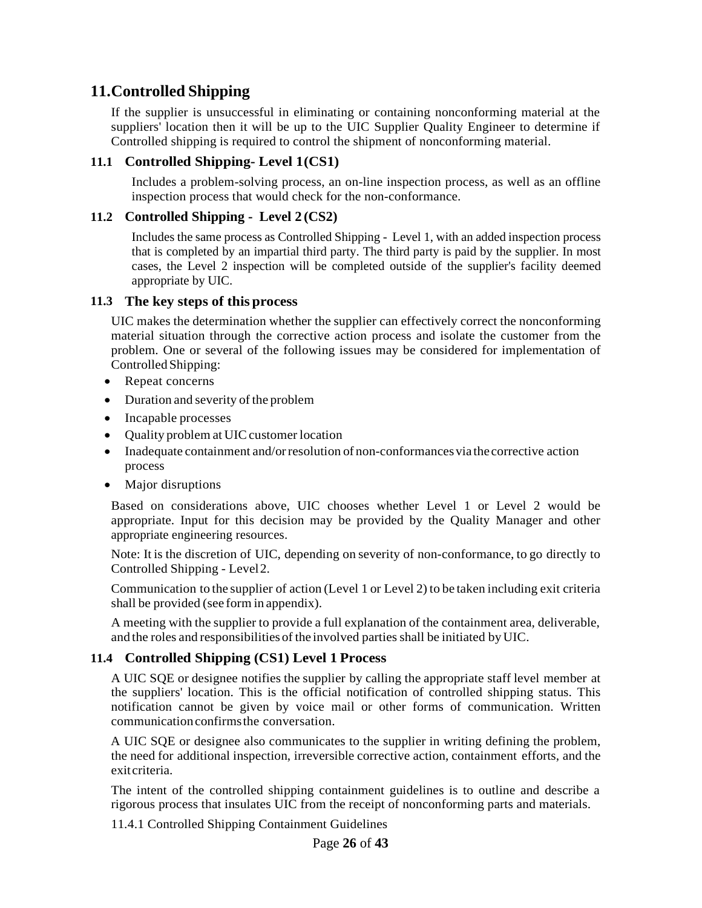## <span id="page-25-0"></span>**11.Controlled Shipping**

If the supplier is unsuccessful in eliminating or containing nonconforming material at the suppliers' location then it will be up to the UIC Supplier Quality Engineer to determine if Controlled shipping is required to control the shipment of nonconforming material.

#### <span id="page-25-1"></span>**11.1 Controlled Shipping- Level 1(CS1)**

Includes a problem-solving process, an on-line inspection process, as well as an offline inspection process that would check for the non-conformance.

#### <span id="page-25-2"></span>**11.2 Controlled Shipping - Level 2 (CS2)**

Includes the same process as Controlled Shipping - Level 1, with an added inspection process that is completed by an impartial third party. The third party is paid by the supplier. In most cases, the Level 2 inspection will be completed outside of the supplier's facility deemed appropriate by UIC.

#### <span id="page-25-3"></span>**11.3 The key steps of this process**

UIC makes the determination whether the supplier can effectively correct the nonconforming material situation through the corrective action process and isolate the customer from the problem. One or several of the following issues may be considered for implementation of ControlledShipping:

- Repeat concerns
- Duration and severity of the problem
- Incapable processes
- Quality problem at UIC customer location
- Inadequate containment and/or resolution of non-conformances via the corrective action process
- Major disruptions

Based on considerations above, UIC chooses whether Level 1 or Level 2 would be appropriate. Input for this decision may be provided by the Quality Manager and other appropriate engineering resources.

Note: It is the discretion of UIC, depending on severity of non-conformance, to go directly to Controlled Shipping - Level2.

Communication to the supplier of action (Level 1 or Level 2) to be taken including exit criteria shall be provided (see form in appendix).

A meeting with the supplier to provide a full explanation of the containment area, deliverable, and the roles and responsibilities of the involved parties shall be initiated by UIC.

#### <span id="page-25-4"></span>**11.4 Controlled Shipping (CS1) Level 1 Process**

A UIC SQE or designee notifies the supplier by calling the appropriate staff level member at the suppliers' location. This is the official notification of controlled shipping status. This notification cannot be given by voice mail or other forms of communication. Written communicationconfirmsthe conversation.

A UIC SQE or designee also communicates to the supplier in writing defining the problem, the need for additional inspection, irreversible corrective action, containment efforts, and the exitcriteria.

The intent of the controlled shipping containment guidelines is to outline and describe a rigorous process that insulates UIC from the receipt of nonconforming parts and materials.

11.4.1 Controlled Shipping Containment Guidelines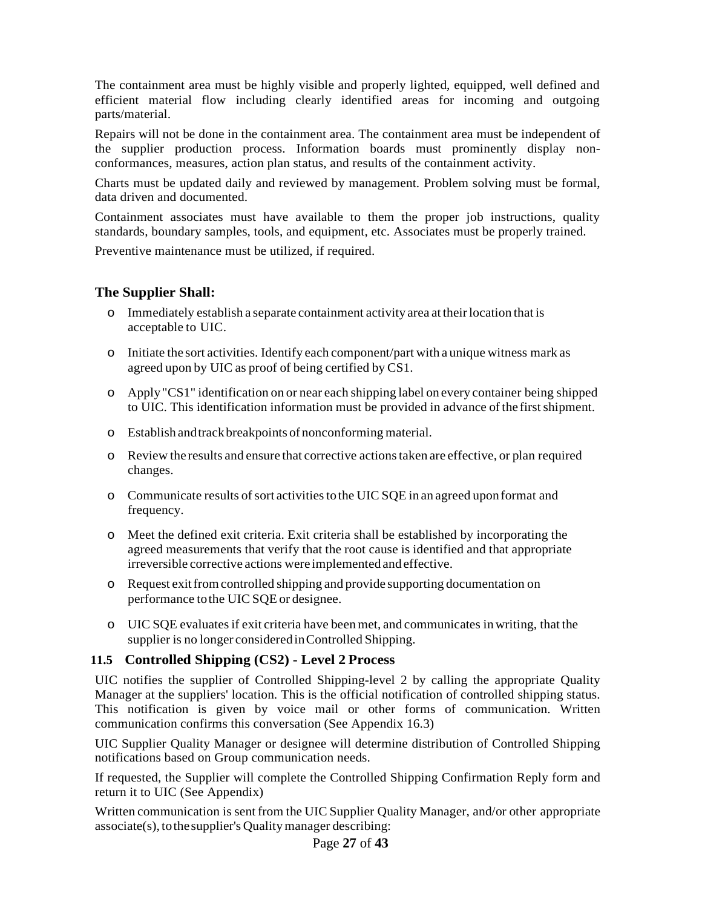The containment area must be highly visible and properly lighted, equipped, well defined and efficient material flow including clearly identified areas for incoming and outgoing parts/material.

Repairs will not be done in the containment area. The containment area must be independent of the supplier production process. Information boards must prominently display nonconformances, measures, action plan status, and results of the containment activity.

Charts must be updated daily and reviewed by management. Problem solving must be formal, data driven and documented.

Containment associates must have available to them the proper job instructions, quality standards, boundary samples, tools, and equipment, etc. Associates must be properly trained.

Preventive maintenance must be utilized, if required.

#### <span id="page-26-0"></span>**The Supplier Shall:**

- $\circ$  Immediately establish a separate containment activity area at their location that is acceptable to UIC.
- o Initiate the sort activities. Identify each component/part with a unique witness mark as agreed upon by UIC as proof of being certified by CS1.
- o Apply"CS1" identification on or near each shipping label on every container being shipped to UIC. This identification information must be provided in advance ofthe firstshipment.
- o Establish andtrackbreakpoints of nonconforming material.
- o Review the results and ensure that corrective actionstaken are effective, or plan required changes.
- $\circ$  Communicate results of sort activities to the UIC SQE in an agreed upon format and frequency.
- o Meet the defined exit criteria. Exit criteria shall be established by incorporating the agreed measurements that verify that the root cause is identified and that appropriate irreversible corrective actions were implemented andeffective.
- o Request exitfromcontrolled shipping and provide supporting documentation on performance tothe UIC SQE or designee.
- o UIC SQE evaluatesif exit criteria have been met, and communicates in writing, that the supplier is no longer consideredinControlled Shipping.

#### <span id="page-26-1"></span>**11.5 Controlled Shipping (CS2) - Level 2 Process**

UIC notifies the supplier of Controlled Shipping-level 2 by calling the appropriate Quality Manager at the suppliers' location. This is the official notification of controlled shipping status. This notification is given by voice mail or other forms of communication. Written communication confirms this conversation (See Appendix 16.3)

UIC Supplier Quality Manager or designee will determine distribution of Controlled Shipping notifications based on Group communication needs.

If requested, the Supplier will complete the Controlled Shipping Confirmation Reply form and return it to UIC (See Appendix)

Written communication is sent from the UIC Supplier Quality Manager, and/or other appropriate associate(s), to the supplier's Quality manager describing: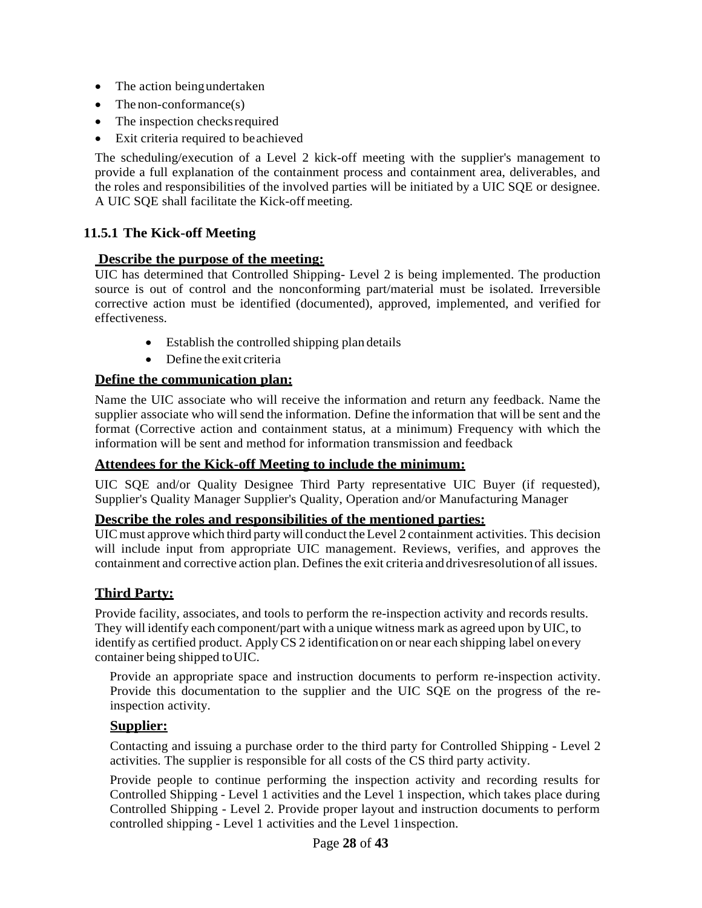- The action beingundertaken
- The non-conformance $(s)$
- The inspection checks required
- Exit criteria required to beachieved

The scheduling/execution of a Level 2 kick-off meeting with the supplier's management to provide a full explanation of the containment process and containment area, deliverables, and the roles and responsibilities of the involved parties will be initiated by a UIC SQE or designee. A UIC SQE shall facilitate the Kick-off meeting.

#### <span id="page-27-1"></span><span id="page-27-0"></span>**11.5.1 The Kick-off Meeting**

#### **Describe the purpose of the meeting:**

UIC has determined that Controlled Shipping- Level 2 is being implemented. The production source is out of control and the nonconforming part/material must be isolated. Irreversible corrective action must be identified (documented), approved, implemented, and verified for effectiveness.

- Establish the controlled shipping plan details
- Define the exit criteria

#### <span id="page-27-2"></span>**Define the communication plan:**

Name the UIC associate who will receive the information and return any feedback. Name the supplier associate who will send the information. Define the information that will be sent and the format (Corrective action and containment status, at a minimum) Frequency with which the information will be sent and method for information transmission and feedback

#### <span id="page-27-3"></span>**Attendees for the Kick-off Meeting to include the minimum:**

UIC SQE and/or Quality Designee Third Party representative UIC Buyer (if requested), Supplier's Quality Manager Supplier's Quality, Operation and/or Manufacturing Manager

#### <span id="page-27-4"></span>**Describe the roles and responsibilities of the mentioned parties:**

UIC must approve which third party will conduct the Level 2 containment activities. This decision will include input from appropriate UIC management. Reviews, verifies, and approves the containment and corrective action plan. Definesthe exit criteria anddrivesresolution of all issues.

#### <span id="page-27-5"></span>**Third Party:**

Provide facility, associates, and tools to perform the re-inspection activity and records results. They will identify each component/part with a unique witness mark as agreed upon by UIC, to identify as certified product. Apply CS 2 identification on or near each shipping label on every container being shipped toUIC.

Provide an appropriate space and instruction documents to perform re-inspection activity. Provide this documentation to the supplier and the UIC SQE on the progress of the reinspection activity.

#### <span id="page-27-6"></span>**Supplier:**

Contacting and issuing a purchase order to the third party for Controlled Shipping - Level 2 activities. The supplier is responsible for all costs of the CS third party activity.

Provide people to continue performing the inspection activity and recording results for Controlled Shipping - Level 1 activities and the Level 1 inspection, which takes place during Controlled Shipping - Level 2. Provide proper layout and instruction documents to perform controlled shipping - Level 1 activities and the Level 1inspection.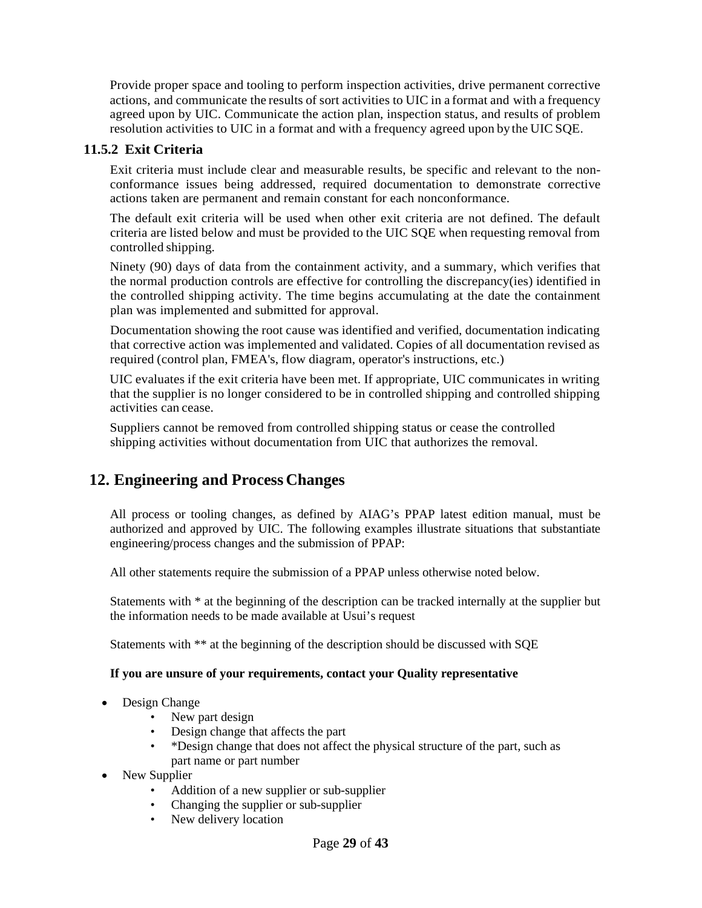Provide proper space and tooling to perform inspection activities, drive permanent corrective actions, and communicate the results of sort activities to UIC in a format and with a frequency agreed upon by UIC. Communicate the action plan, inspection status, and results of problem resolution activities to UIC in a format and with a frequency agreed upon by the UIC SQE.

#### <span id="page-28-0"></span>**11.5.2 Exit Criteria**

Exit criteria must include clear and measurable results, be specific and relevant to the nonconformance issues being addressed, required documentation to demonstrate corrective actions taken are permanent and remain constant for each nonconformance.

The default exit criteria will be used when other exit criteria are not defined. The default criteria are listed below and must be provided to the UIC SQE when requesting removal from controlled shipping.

Ninety (90) days of data from the containment activity, and a summary, which verifies that the normal production controls are effective for controlling the discrepancy(ies) identified in the controlled shipping activity. The time begins accumulating at the date the containment plan was implemented and submitted for approval.

Documentation showing the root cause was identified and verified, documentation indicating that corrective action was implemented and validated. Copies of all documentation revised as required (control plan, FMEA's, flow diagram, operator's instructions, etc.)

UIC evaluates if the exit criteria have been met. If appropriate, UIC communicates in writing that the supplier is no longer considered to be in controlled shipping and controlled shipping activities can cease.

Suppliers cannot be removed from controlled shipping status or cease the controlled shipping activities without documentation from UIC that authorizes the removal.

## <span id="page-28-1"></span>**12. Engineering and Process Changes**

All process or tooling changes, as defined by AIAG's PPAP latest edition manual, must be authorized and approved by UIC. The following examples illustrate situations that substantiate engineering/process changes and the submission of PPAP:

All other statements require the submission of a PPAP unless otherwise noted below.

Statements with \* at the beginning of the description can be tracked internally at the supplier but the information needs to be made available at Usui's request

Statements with \*\* at the beginning of the description should be discussed with SQE

#### **If you are unsure of your requirements, contact your Quality representative**

- Design Change
	- New part design
	- Design change that affects the part
	- \*Design change that does not affect the physical structure of the part, such as part name or part number
- New Supplier
	- Addition of a new supplier or sub-supplier
	- Changing the supplier or sub-supplier
	- New delivery location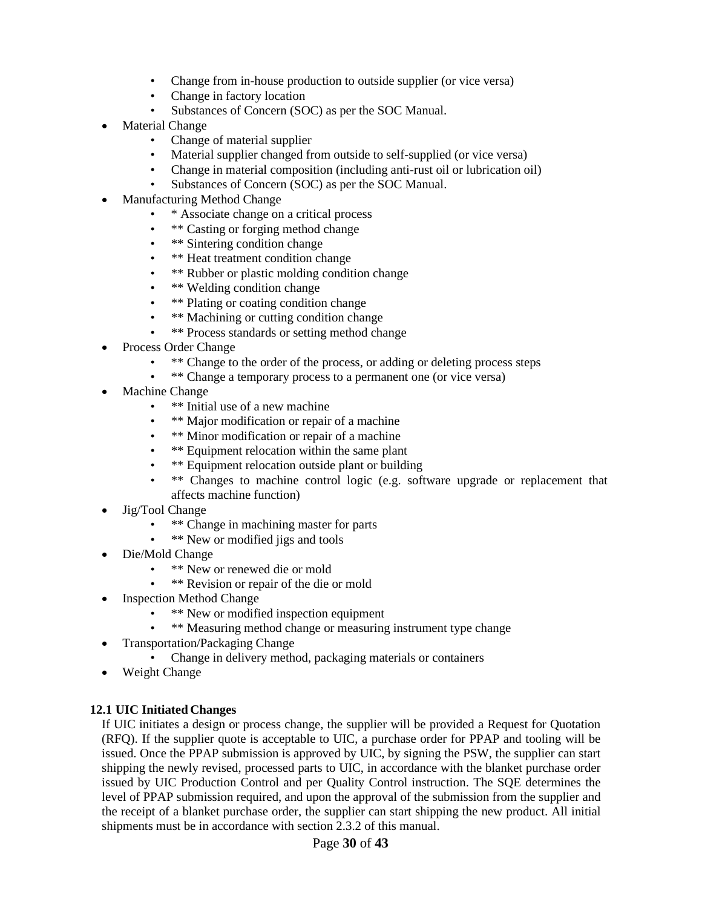- Change from in-house production to outside supplier (or vice versa)
- Change in factory location
- Substances of Concern (SOC) as per the SOC Manual.
- **Material Change** 
	- Change of material supplier
	- Material supplier changed from outside to self-supplied (or vice versa)
	- Change in material composition (including anti-rust oil or lubrication oil)
	- Substances of Concern (SOC) as per the SOC Manual.
- Manufacturing Method Change
	- \* Associate change on a critical process
	- \*\* Casting or forging method change
	- \*\* Sintering condition change
	- \*\* Heat treatment condition change
	- \*\* Rubber or plastic molding condition change
	- \*\* Welding condition change
	- \*\* Plating or coating condition change
	- \*\* Machining or cutting condition change
	- \*\* Process standards or setting method change
- Process Order Change
	- \*\* Change to the order of the process, or adding or deleting process steps
	- \*\* Change a temporary process to a permanent one (or vice versa)
- Machine Change
	- \*\* Initial use of a new machine
	- \*\* Major modification or repair of a machine
	- \*\* Minor modification or repair of a machine
	- \*\* Equipment relocation within the same plant
	- \*\* Equipment relocation outside plant or building
	- \*\* Changes to machine control logic (e.g. software upgrade or replacement that affects machine function)
- Jig/Tool Change
	- \*\* Change in machining master for parts
	- \*\* New or modified jigs and tools
- Die/Mold Change
	- \*\* New or renewed die or mold
	- \*\* Revision or repair of the die or mold
- **Inspection Method Change** 
	- \*\* New or modified inspection equipment
	- \*\* Measuring method change or measuring instrument type change
- Transportation/Packaging Change
	- Change in delivery method, packaging materials or containers
- Weight Change

#### <span id="page-29-0"></span>**12.1 UIC Initiated Changes**

If UIC initiates a design or process change, the supplier will be provided a Request for Quotation (RFQ). If the supplier quote is acceptable to UIC, a purchase order for PPAP and tooling will be issued. Once the PPAP submission is approved by UIC, by signing the PSW, the supplier can start shipping the newly revised, processed parts to UIC, in accordance with the blanket purchase order issued by UIC Production Control and per Quality Control instruction. The SQE determines the level of PPAP submission required, and upon the approval of the submission from the supplier and the receipt of a blanket purchase order, the supplier can start shipping the new product. All initial shipments must be in accordance with section 2.3.2 of this manual.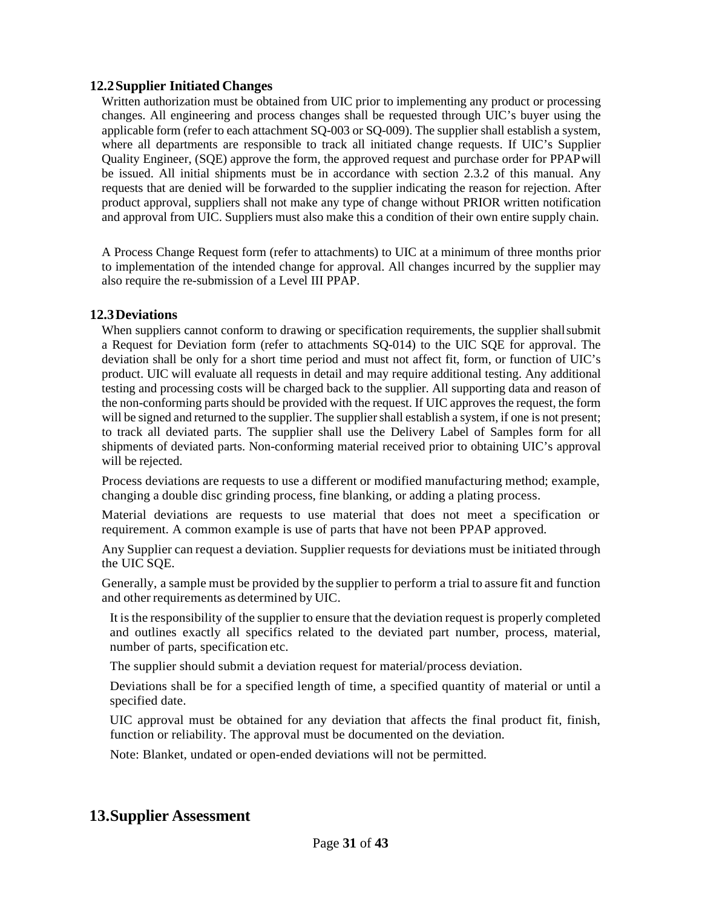#### **12.2Supplier Initiated Changes**

Written authorization must be obtained from UIC prior to implementing any product or processing changes. All engineering and process changes shall be requested through UIC's buyer using the applicable form (refer to each attachment SQ-003 or SQ-009). The supplier shall establish a system, where all departments are responsible to track all initiated change requests. If UIC's Supplier Quality Engineer, (SQE) approve the form, the approved request and purchase order for PPAPwill be issued. All initial shipments must be in accordance with section 2.3.2 of this manual. Any requests that are denied will be forwarded to the supplier indicating the reason for rejection. After product approval, suppliers shall not make any type of change without PRIOR written notification and approval from UIC. Suppliers must also make this a condition of their own entire supply chain.

A Process Change Request form (refer to attachments) to UIC at a minimum of three months prior to implementation of the intended change for approval. All changes incurred by the supplier may also require the re-submission of a Level III PPAP.

#### <span id="page-30-0"></span>**12.3Deviations**

When suppliers cannot conform to drawing or specification requirements, the supplier shall submit a Request for Deviation form (refer to attachments SQ-014) to the UIC SQE for approval. The deviation shall be only for a short time period and must not affect fit, form, or function of UIC's product. UIC will evaluate all requests in detail and may require additional testing. Any additional testing and processing costs will be charged back to the supplier. All supporting data and reason of the non-conforming parts should be provided with the request. If UIC approves the request, the form will be signed and returned to the supplier. The supplier shall establish a system, if one is not present; to track all deviated parts. The supplier shall use the Delivery Label of Samples form for all shipments of deviated parts. Non-conforming material received prior to obtaining UIC's approval will be rejected.

Process deviations are requests to use a different or modified manufacturing method; example, changing a double disc grinding process, fine blanking, or adding a plating process.

Material deviations are requests to use material that does not meet a specification or requirement. A common example is use of parts that have not been PPAP approved.

Any Supplier can request a deviation. Supplier requests for deviations must be initiated through the UIC SQE.

Generally, a sample must be provided by the supplier to perform a trial to assure fit and function and other requirements as determined by UIC.

It isthe responsibility of the supplier to ensure that the deviation request is properly completed and outlines exactly all specifics related to the deviated part number, process, material, number of parts, specification etc.

The supplier should submit a deviation request for material/process deviation.

Deviations shall be for a specified length of time, a specified quantity of material or until a specified date.

UIC approval must be obtained for any deviation that affects the final product fit, finish, function or reliability. The approval must be documented on the deviation.

Note: Blanket, undated or open-ended deviations will not be permitted.

## <span id="page-30-1"></span>**13.Supplier Assessment**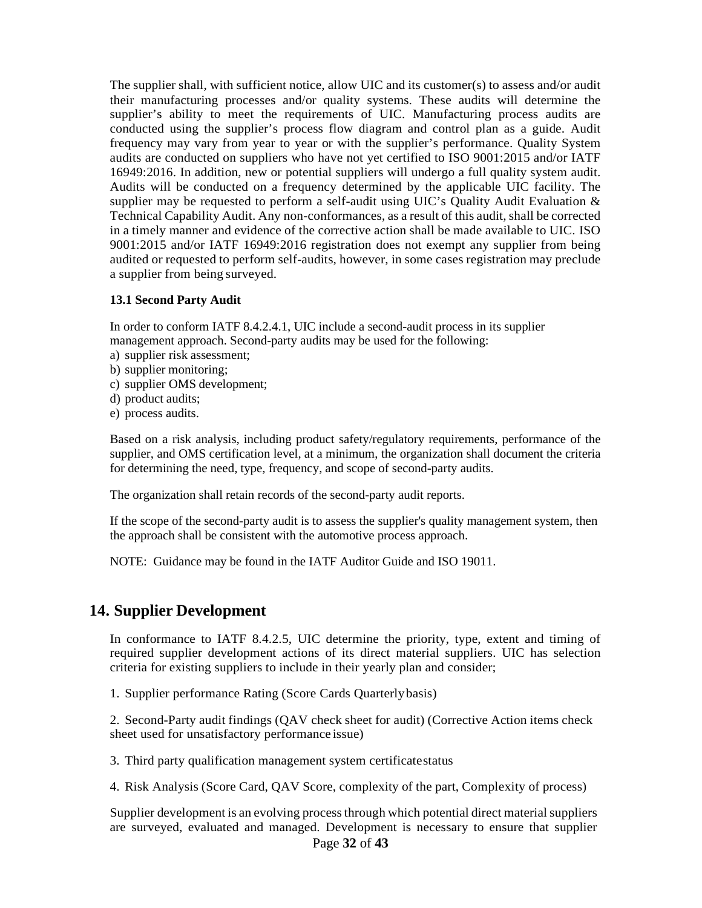The supplier shall, with sufficient notice, allow UIC and its customer(s) to assess and/or audit their manufacturing processes and/or quality systems. These audits will determine the supplier's ability to meet the requirements of UIC. Manufacturing process audits are conducted using the supplier's process flow diagram and control plan as a guide. Audit frequency may vary from year to year or with the supplier's performance. Quality System audits are conducted on suppliers who have not yet certified to ISO 9001:2015 and/or IATF 16949:2016. In addition, new or potential suppliers will undergo a full quality system audit. Audits will be conducted on a frequency determined by the applicable UIC facility. The supplier may be requested to perform a self-audit using UIC's Quality Audit Evaluation & Technical Capability Audit. Any non-conformances, as a result of this audit, shall be corrected in a timely manner and evidence of the corrective action shall be made available to UIC. ISO 9001:2015 and/or IATF 16949:2016 registration does not exempt any supplier from being audited or requested to perform self-audits, however, in some cases registration may preclude a supplier from being surveyed.

#### **13.1 Second Party Audit**

In order to conform IATF 8.4.2.4.1, UIC include a second-audit process in its supplier management approach. Second-party audits may be used for the following:

- a) supplier risk assessment;
- b) supplier monitoring;
- c) supplier OMS development;
- d) product audits;
- e) process audits.

Based on a risk analysis, including product safety/regulatory requirements, performance of the supplier, and OMS certification level, at a minimum, the organization shall document the criteria for determining the need, type, frequency, and scope of second-party audits.

The organization shall retain records of the second-party audit reports.

If the scope of the second-party audit is to assess the supplier's quality management system, then the approach shall be consistent with the automotive process approach.

NOTE: Guidance may be found in the IATF Auditor Guide and ISO 19011.

#### <span id="page-31-0"></span>**14. Supplier Development**

In conformance to IATF 8.4.2.5, UIC determine the priority, type, extent and timing of required supplier development actions of its direct material suppliers. UIC has selection criteria for existing suppliers to include in their yearly plan and consider;

1. Supplier performance Rating (Score Cards Quarterlybasis)

2. Second-Party audit findings (QAV check sheet for audit) (Corrective Action items check sheet used for unsatisfactory performance issue)

3. Third party qualification management system certificatestatus

4. Risk Analysis (Score Card, QAV Score, complexity of the part, Complexity of process)

Page **32** of **43** Supplier development is an evolving process through which potential direct material suppliers are surveyed, evaluated and managed. Development is necessary to ensure that supplier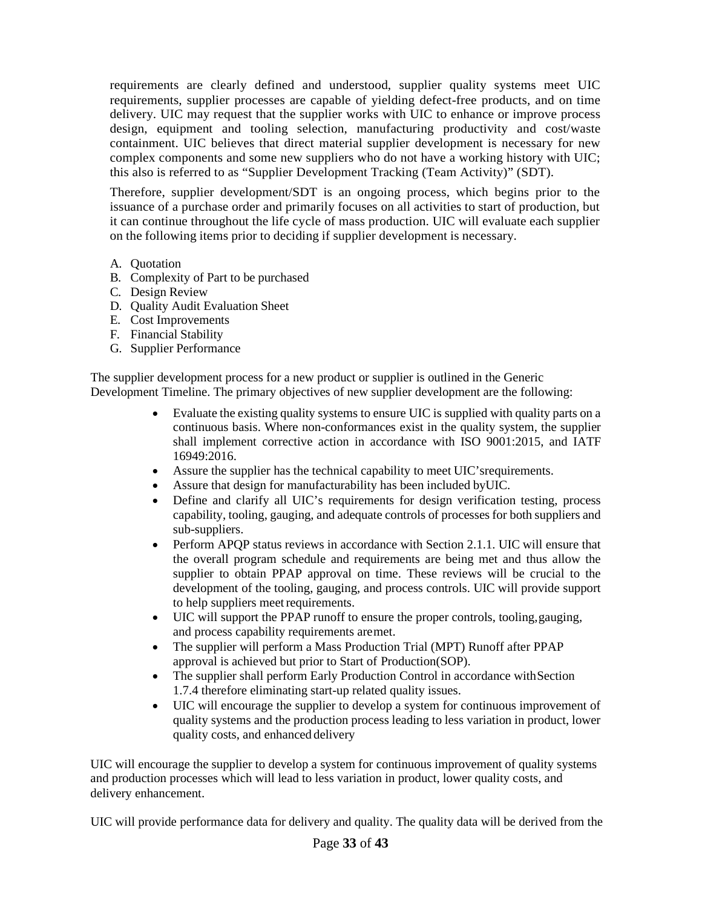requirements are clearly defined and understood, supplier quality systems meet UIC requirements, supplier processes are capable of yielding defect-free products, and on time delivery. UIC may request that the supplier works with UIC to enhance or improve process design, equipment and tooling selection, manufacturing productivity and cost/waste containment. UIC believes that direct material supplier development is necessary for new complex components and some new suppliers who do not have a working history with UIC; this also is referred to as "Supplier Development Tracking (Team Activity)" (SDT).

Therefore, supplier development/SDT is an ongoing process, which begins prior to the issuance of a purchase order and primarily focuses on all activities to start of production, but it can continue throughout the life cycle of mass production. UIC will evaluate each supplier on the following items prior to deciding if supplier development is necessary.

- A. Quotation
- B. Complexity of Part to be purchased
- C. Design Review
- D. Quality Audit Evaluation Sheet
- E. Cost Improvements
- F. Financial Stability
- G. Supplier Performance

The supplier development process for a new product or supplier is outlined in the Generic Development Timeline. The primary objectives of new supplier development are the following:

- Evaluate the existing quality systems to ensure UIC is supplied with quality parts on a continuous basis. Where non-conformances exist in the quality system, the supplier shall implement corrective action in accordance with ISO 9001:2015, and IATF 16949:2016.
- Assure the supplier has the technical capability to meet UIC'srequirements.
- Assure that design for manufacturability has been included byUIC.
- Define and clarify all UIC's requirements for design verification testing, process capability, tooling, gauging, and adequate controls of processes for both suppliers and sub-suppliers.
- Perform APQP status reviews in accordance with Section 2.1.1. UIC will ensure that the overall program schedule and requirements are being met and thus allow the supplier to obtain PPAP approval on time. These reviews will be crucial to the development of the tooling, gauging, and process controls. UIC will provide support to help suppliers meet requirements.
- UIC will support the PPAP runoff to ensure the proper controls, tooling,gauging, and process capability requirements aremet.
- The supplier will perform a Mass Production Trial (MPT) Runoff after PPAP approval is achieved but prior to Start of Production(SOP).
- The supplier shall perform Early Production Control in accordance with Section 1.7.4 therefore eliminating start-up related quality issues.
- UIC will encourage the supplier to develop a system for continuous improvement of quality systems and the production process leading to less variation in product, lower quality costs, and enhanced delivery

UIC will encourage the supplier to develop a system for continuous improvement of quality systems and production processes which will lead to less variation in product, lower quality costs, and delivery enhancement.

UIC will provide performance data for delivery and quality. The quality data will be derived from the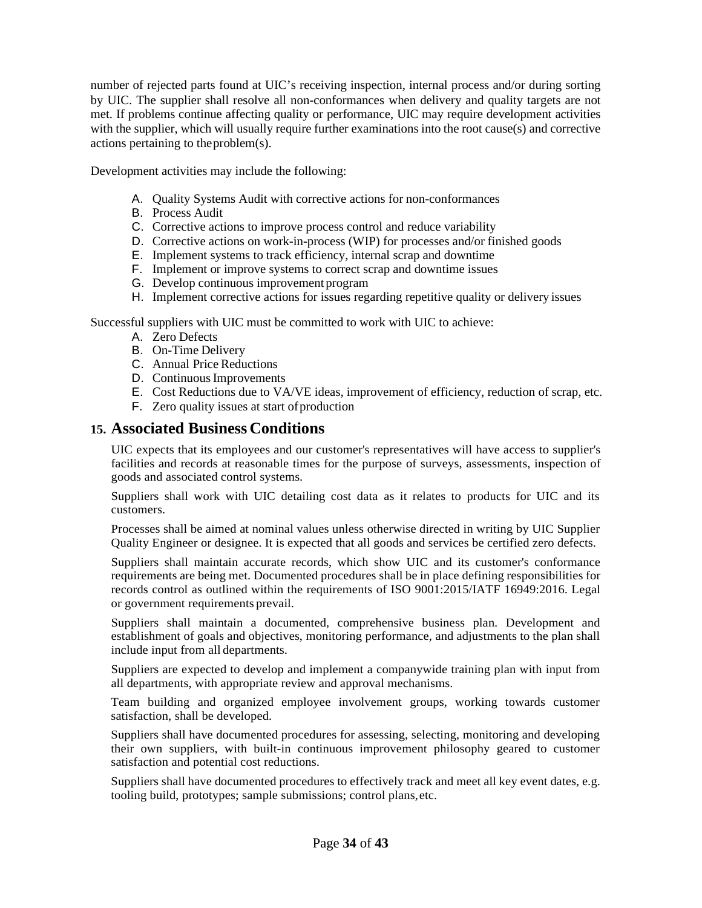number of rejected parts found at UIC's receiving inspection, internal process and/or during sorting by UIC. The supplier shall resolve all non-conformances when delivery and quality targets are not met. If problems continue affecting quality or performance, UIC may require development activities with the supplier, which will usually require further examinations into the root cause(s) and corrective actions pertaining to theproblem(s).

Development activities may include the following:

- A. Quality Systems Audit with corrective actions for non-conformances
- B. Process Audit
- C. Corrective actions to improve process control and reduce variability
- D. Corrective actions on work-in-process (WIP) for processes and/or finished goods
- E. Implement systems to track efficiency, internal scrap and downtime
- F. Implement or improve systems to correct scrap and downtime issues
- G. Develop continuous improvement program
- H. Implement corrective actions for issues regarding repetitive quality or delivery issues

Successful suppliers with UIC must be committed to work with UIC to achieve:

- A. Zero Defects
- B. On-Time Delivery
- C. Annual Price Reductions
- D. Continuous Improvements
- E. Cost Reductions due to VA/VE ideas, improvement of efficiency, reduction of scrap, etc.
- F. Zero quality issues at start of production

#### <span id="page-33-0"></span>**15. Associated Business Conditions**

UIC expects that its employees and our customer's representatives will have access to supplier's facilities and records at reasonable times for the purpose of surveys, assessments, inspection of goods and associated control systems.

Suppliers shall work with UIC detailing cost data as it relates to products for UIC and its customers.

Processes shall be aimed at nominal values unless otherwise directed in writing by UIC Supplier Quality Engineer or designee. It is expected that all goods and services be certified zero defects.

Suppliers shall maintain accurate records, which show UIC and its customer's conformance requirements are being met. Documented procedures shall be in place defining responsibilities for records control as outlined within the requirements of ISO 9001:2015/IATF 16949:2016. Legal or government requirements prevail.

Suppliers shall maintain a documented, comprehensive business plan. Development and establishment of goals and objectives, monitoring performance, and adjustments to the plan shall include input from all departments.

Suppliers are expected to develop and implement a companywide training plan with input from all departments, with appropriate review and approval mechanisms.

Team building and organized employee involvement groups, working towards customer satisfaction, shall be developed.

Suppliers shall have documented procedures for assessing, selecting, monitoring and developing their own suppliers, with built-in continuous improvement philosophy geared to customer satisfaction and potential cost reductions.

Suppliers shall have documented procedures to effectively track and meet all key event dates, e.g. tooling build, prototypes; sample submissions; control plans,etc.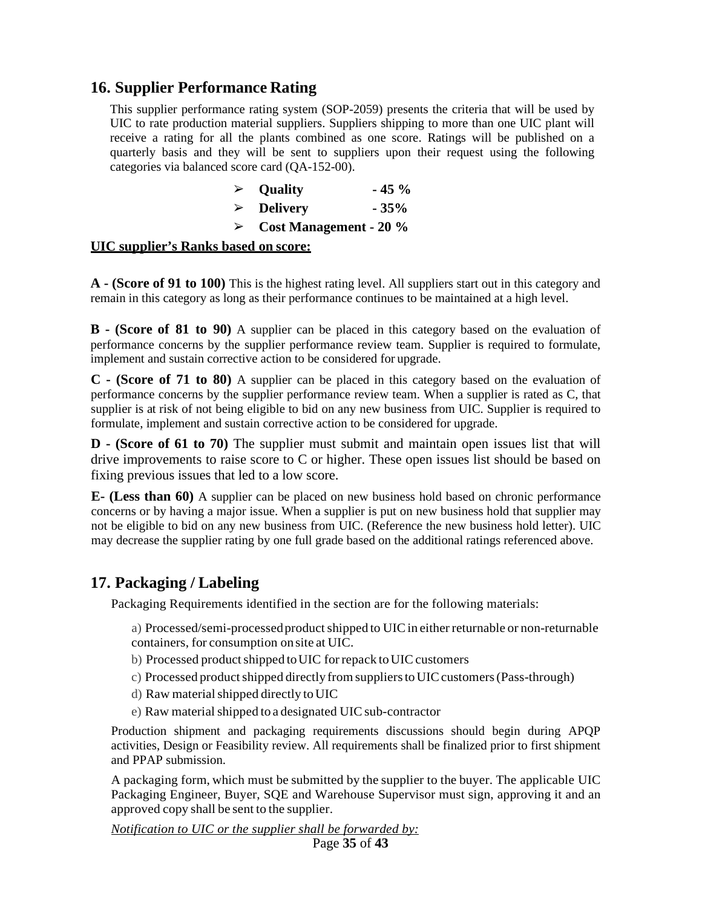## <span id="page-34-1"></span><span id="page-34-0"></span>**16. Supplier Performance Rating**

This supplier performance rating system (SOP-2059) presents the criteria that will be used by UIC to rate production material suppliers. Suppliers shipping to more than one UIC plant will receive a rating for all the plants combined as one score. Ratings will be published on a quarterly basis and they will be sent to suppliers upon their request using the following categories via balanced score card (QA-152-00).

|                  | $\triangleright$ Quality      | $-45\%$ |
|------------------|-------------------------------|---------|
|                  | $\triangleright$ Delivery     | $-35%$  |
| $\triangleright$ | <b>Cost Management - 20 %</b> |         |

#### **UIC supplier's Ranks based on score:**

**A - (Score of 91 to 100)** This is the highest rating level. All suppliers start out in this category and remain in this category as long as their performance continues to be maintained at a high level.

**B - (Score of 81 to 90)** A supplier can be placed in this category based on the evaluation of performance concerns by the supplier performance review team. Supplier is required to formulate, implement and sustain corrective action to be considered for upgrade.

**C - (Score of 71 to 80)** A supplier can be placed in this category based on the evaluation of performance concerns by the supplier performance review team. When a supplier is rated as C, that supplier is at risk of not being eligible to bid on any new business from UIC. Supplier is required to formulate, implement and sustain corrective action to be considered for upgrade.

**D - (Score of 61 to 70)** The supplier must submit and maintain open issues list that will drive improvements to raise score to C or higher. These open issues list should be based on fixing previous issues that led to a low score.

**E- (Less than 60)** A supplier can be placed on new business hold based on chronic performance concerns or by having a major issue. When a supplier is put on new business hold that supplier may not be eligible to bid on any new business from UIC. (Reference the new business hold letter). UIC may decrease the supplier rating by one full grade based on the additional ratings referenced above.

#### <span id="page-34-2"></span>**17. Packaging / Labeling**

Packaging Requirements identified in the section are for the following materials:

- a) Processed/semi-processed product shipped to UIC in either returnable or non-returnable containers, for consumption on site at UIC.
- b) Processed product shipped to UIC for repack to UIC customers
- c) Processed product shipped directly from suppliers to UIC customers (Pass-through)
- d) Raw material shipped directly to UIC
- e) Raw material shipped to a designated UIC sub-contractor

Production shipment and packaging requirements discussions should begin during APQP activities, Design or Feasibility review. All requirements shall be finalized prior to first shipment and PPAP submission.

A packaging form, which must be submitted by the supplier to the buyer. The applicable UIC Packaging Engineer, Buyer, SQE and Warehouse Supervisor must sign, approving it and an approved copy shall be sent to the supplier.

*Notification to UIC or the supplier shall be forwarded by:* 

Page **35** of **43**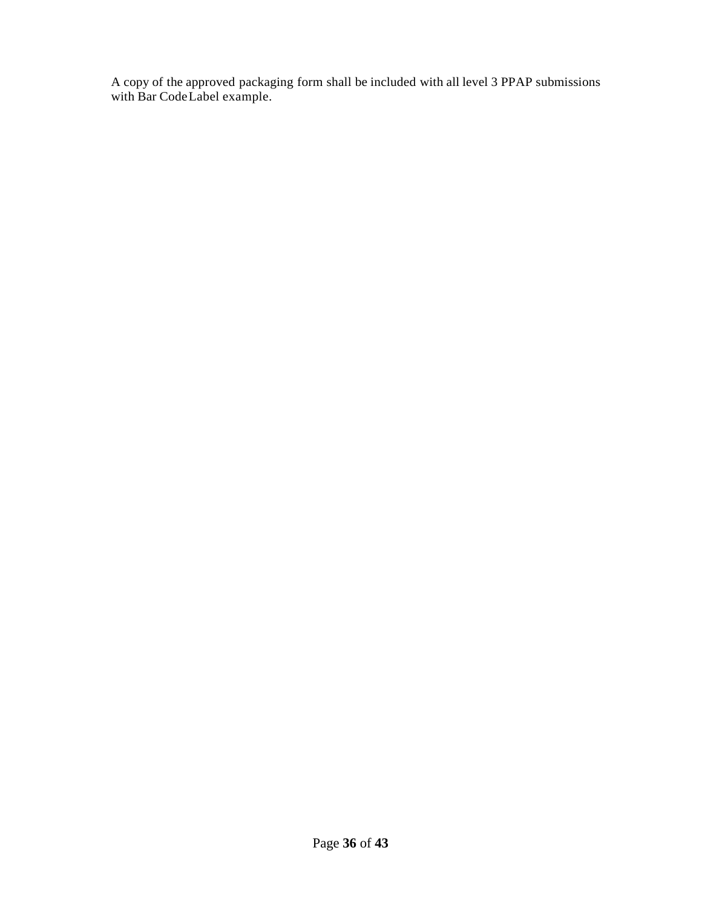A copy of the approved packaging form shall be included with all level 3 PPAP submissions with Bar CodeLabel example.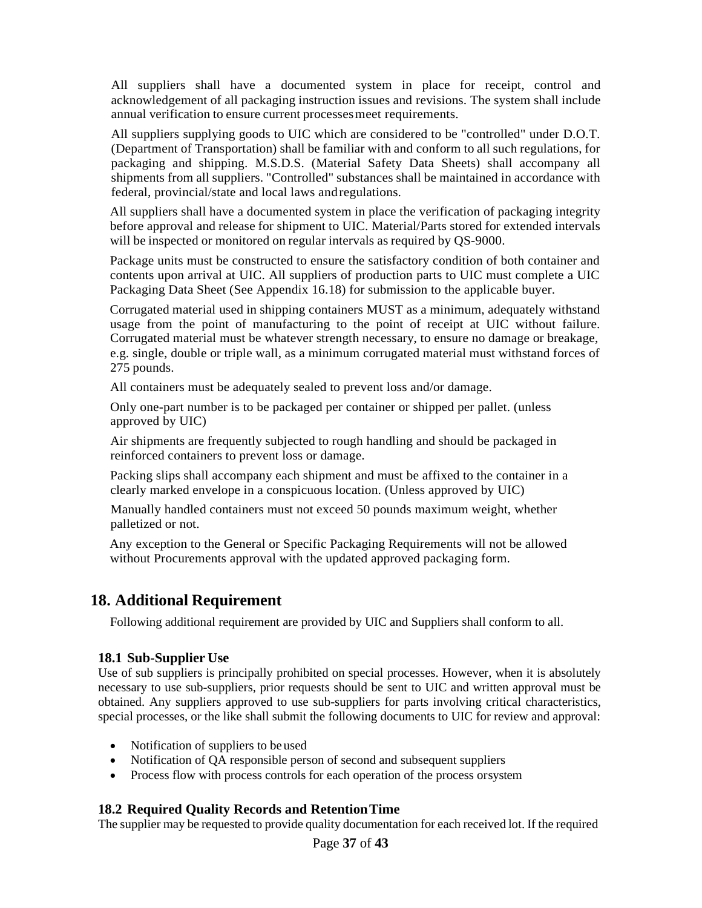All suppliers shall have a documented system in place for receipt, control and acknowledgement of all packaging instruction issues and revisions. The system shall include annual verification to ensure current processesmeet requirements.

All suppliers supplying goods to UIC which are considered to be "controlled" under D.O.T. (Department of Transportation) shall be familiar with and conform to all such regulations, for packaging and shipping. M.S.D.S. (Material Safety Data Sheets) shall accompany all shipments from all suppliers. "Controlled" substances shall be maintained in accordance with federal, provincial/state and local laws andregulations.

All suppliers shall have a documented system in place the verification of packaging integrity before approval and release for shipment to UIC. Material/Parts stored for extended intervals will be inspected or monitored on regular intervals as required by QS-9000.

Package units must be constructed to ensure the satisfactory condition of both container and contents upon arrival at UIC. All suppliers of production parts to UIC must complete a UIC Packaging Data Sheet (See Appendix 16.18) for submission to the applicable buyer.

Corrugated material used in shipping containers MUST as a minimum, adequately withstand usage from the point of manufacturing to the point of receipt at UIC without failure. Corrugated material must be whatever strength necessary, to ensure no damage or breakage, e.g. single, double or triple wall, as a minimum corrugated material must withstand forces of 275 pounds.

All containers must be adequately sealed to prevent loss and/or damage.

Only one-part number is to be packaged per container or shipped per pallet. (unless approved by UIC)

Air shipments are frequently subjected to rough handling and should be packaged in reinforced containers to prevent loss or damage.

Packing slips shall accompany each shipment and must be affixed to the container in a clearly marked envelope in a conspicuous location. (Unless approved by UIC)

Manually handled containers must not exceed 50 pounds maximum weight, whether palletized or not.

Any exception to the General or Specific Packaging Requirements will not be allowed without Procurements approval with the updated approved packaging form.

## <span id="page-36-0"></span>**18. Additional Requirement**

Following additional requirement are provided by UIC and Suppliers shall conform to all.

#### <span id="page-36-1"></span>**18.1 Sub-Supplier Use**

Use of sub suppliers is principally prohibited on special processes. However, when it is absolutely necessary to use sub-suppliers, prior requests should be sent to UIC and written approval must be obtained. Any suppliers approved to use sub-suppliers for parts involving critical characteristics, special processes, or the like shall submit the following documents to UIC for review and approval:

- Notification of suppliers to be used
- Notification of QA responsible person of second and subsequent suppliers
- Process flow with process controls for each operation of the process orsystem

#### <span id="page-36-2"></span>**18.2 Required Quality Records and RetentionTime**

The supplier may be requested to provide quality documentation for each received lot. If the required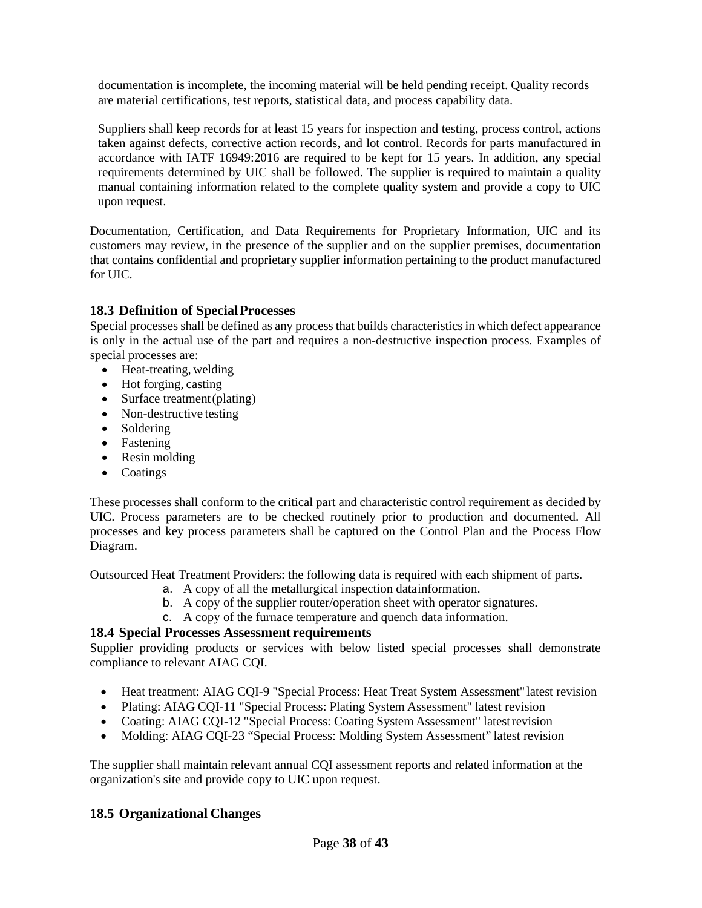documentation is incomplete, the incoming material will be held pending receipt. Quality records are material certifications, test reports, statistical data, and process capability data.

Suppliers shall keep records for at least 15 years for inspection and testing, process control, actions taken against defects, corrective action records, and lot control. Records for parts manufactured in accordance with IATF 16949:2016 are required to be kept for 15 years. In addition, any special requirements determined by UIC shall be followed. The supplier is required to maintain a quality manual containing information related to the complete quality system and provide a copy to UIC upon request.

Documentation, Certification, and Data Requirements for Proprietary Information, UIC and its customers may review, in the presence of the supplier and on the supplier premises, documentation that contains confidential and proprietary supplier information pertaining to the product manufactured for UIC.

#### <span id="page-37-0"></span>**18.3 Definition of SpecialProcesses**

Special processes shall be defined as any process that builds characteristics in which defect appearance is only in the actual use of the part and requires a non-destructive inspection process. Examples of special processes are:

- Heat-treating, welding
- Hot forging, casting
- Surface treatment (plating)
- Non-destructive testing
- Soldering
- Fastening
- Resin molding
- Coatings

These processes shall conform to the critical part and characteristic control requirement as decided by UIC. Process parameters are to be checked routinely prior to production and documented. All processes and key process parameters shall be captured on the Control Plan and the Process Flow Diagram.

Outsourced Heat Treatment Providers: the following data is required with each shipment of parts.

- a. A copy of all the metallurgical inspection datainformation.
- b. A copy of the supplier router/operation sheet with operator signatures.
- c. A copy of the furnace temperature and quench data information.

#### <span id="page-37-1"></span>**18.4 Special Processes Assessment requirements**

Supplier providing products or services with below listed special processes shall demonstrate compliance to relevant AIAG CQI.

- Heat treatment: AIAG CQI-9 "Special Process: Heat Treat System Assessment" latest revision
- Plating: AIAG CQI-11 "Special Process: Plating System Assessment" latest revision
- Coating: AIAG CQI-12 "Special Process: Coating System Assessment" latest revision
- Molding: AIAG CQI-23 "Special Process: Molding System Assessment" latest revision

The supplier shall maintain relevant annual CQI assessment reports and related information at the organization's site and provide copy to UIC upon request.

#### <span id="page-37-2"></span>**18.5 Organizational Changes**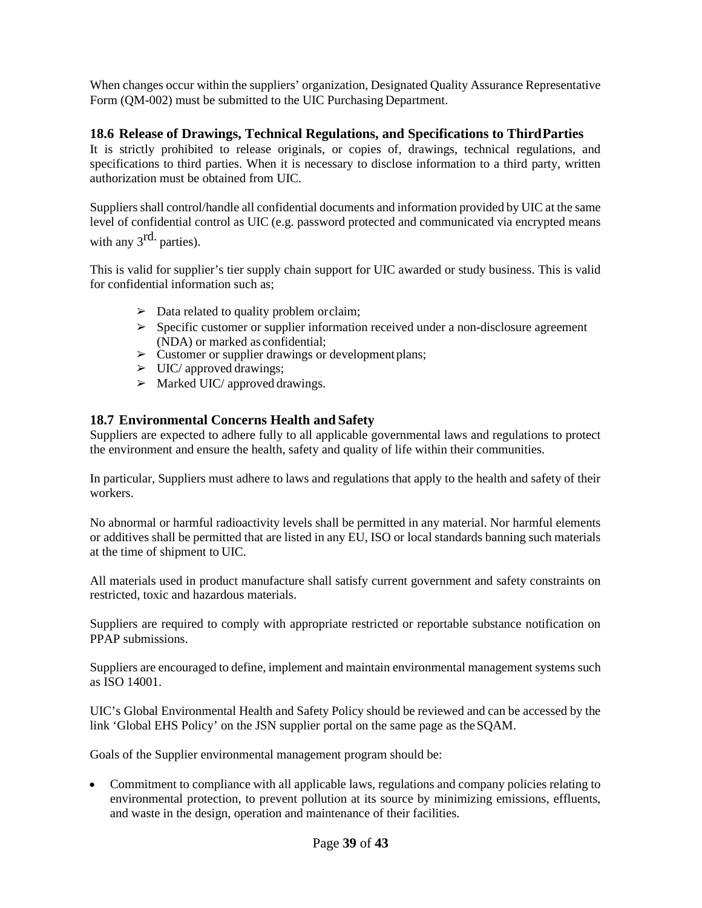When changes occur within the suppliers' organization, Designated Quality Assurance Representative Form (QM-002) must be submitted to the UIC Purchasing Department.

#### <span id="page-38-0"></span>**18.6 Release of Drawings, Technical Regulations, and Specifications to ThirdParties**

It is strictly prohibited to release originals, or copies of, drawings, technical regulations, and specifications to third parties. When it is necessary to disclose information to a third party, written authorization must be obtained from UIC.

Suppliers shall control/handle all confidential documents and information provided by UIC at the same level of confidential control as UIC (e.g. password protected and communicated via encrypted means with any  $3^{\text{rd}}$  parties).

This is valid for supplier's tier supply chain support for UIC awarded or study business. This is valid for confidential information such as;

- $\triangleright$  Data related to quality problem orclaim;
- ➢ Specific customer or supplier information received under a non-disclosure agreement (NDA) or marked as confidential;
- $\triangleright$  Customer or supplier drawings or development plans;
- $\triangleright$  UIC/ approved drawings;
- $\triangleright$  Marked UIC/ approved drawings.

#### <span id="page-38-1"></span>**18.7 Environmental Concerns Health and Safety**

Suppliers are expected to adhere fully to all applicable governmental laws and regulations to protect the environment and ensure the health, safety and quality of life within their communities.

In particular, Suppliers must adhere to laws and regulations that apply to the health and safety of their workers.

No abnormal or harmful radioactivity levels shall be permitted in any material. Nor harmful elements or additives shall be permitted that are listed in any EU, ISO or local standards banning such materials at the time of shipment to UIC.

All materials used in product manufacture shall satisfy current government and safety constraints on restricted, toxic and hazardous materials.

Suppliers are required to comply with appropriate restricted or reportable substance notification on PPAP submissions.

Suppliers are encouraged to define, implement and maintain environmental management systems such as ISO 14001.

UIC's Global Environmental Health and Safety Policy should be reviewed and can be accessed by the link 'Global EHS Policy' on the JSN supplier portal on the same page as theSQAM.

Goals of the Supplier environmental management program should be:

• Commitment to compliance with all applicable laws, regulations and company policies relating to environmental protection, to prevent pollution at its source by minimizing emissions, effluents, and waste in the design, operation and maintenance of their facilities.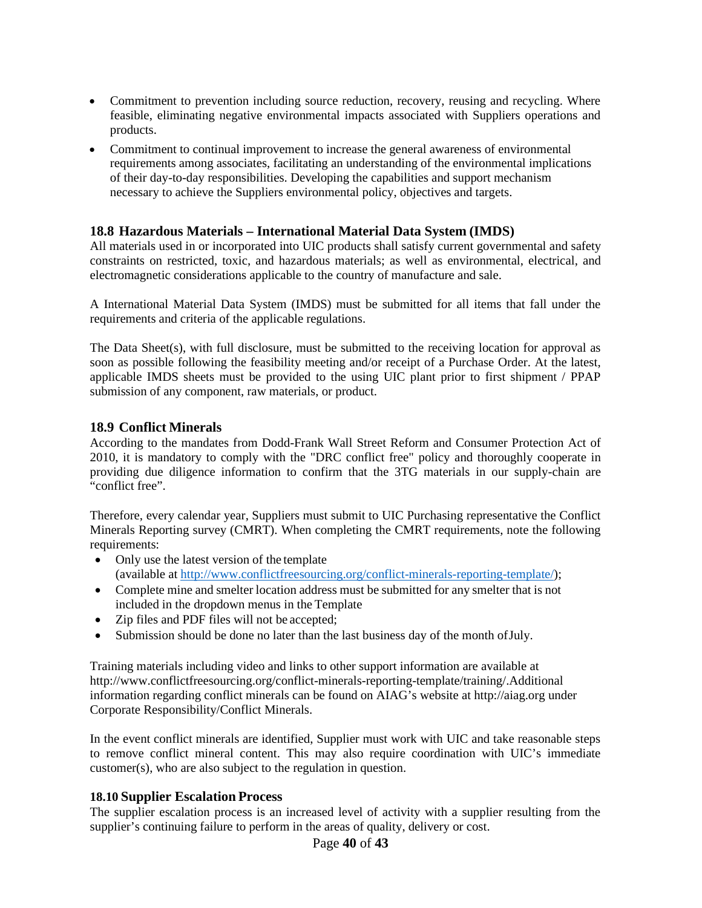- Commitment to prevention including source reduction, recovery, reusing and recycling. Where feasible, eliminating negative environmental impacts associated with Suppliers operations and products.
- Commitment to continual improvement to increase the general awareness of environmental requirements among associates, facilitating an understanding of the environmental implications of their day-to-day responsibilities. Developing the capabilities and support mechanism necessary to achieve the Suppliers environmental policy, objectives and targets.

#### <span id="page-39-0"></span>**18.8 Hazardous Materials – International Material Data System (IMDS)**

All materials used in or incorporated into UIC products shall satisfy current governmental and safety constraints on restricted, toxic, and hazardous materials; as well as environmental, electrical, and electromagnetic considerations applicable to the country of manufacture and sale.

A International Material Data System (IMDS) must be submitted for all items that fall under the requirements and criteria of the applicable regulations.

The Data Sheet(s), with full disclosure, must be submitted to the receiving location for approval as soon as possible following the feasibility meeting and/or receipt of a Purchase Order. At the latest, applicable IMDS sheets must be provided to the using UIC plant prior to first shipment / PPAP submission of any component, raw materials, or product.

#### <span id="page-39-1"></span>**18.9 Conflict Minerals**

According to the mandates from Dodd-Frank Wall Street Reform and Consumer Protection Act of 2010, it is mandatory to comply with the "DRC conflict free" policy and thoroughly cooperate in providing due diligence information to confirm that the 3TG materials in our supply-chain are  $\alpha$  conflict free".

Therefore, every calendar year, Suppliers must submit to UIC Purchasing representative the Conflict Minerals Reporting survey (CMRT). When completing the CMRT requirements, note the following requirements:

- Only use the latest version of the template (available at <http://www.conflictfreesourcing.org/conflict-minerals-reporting-template/>);
- Complete mine and smelter location address must be submitted for any smelter that is not included in the dropdown menus in the Template
- Zip files and PDF files will not be accepted;
- Submission should be done no later than the last business day of the month ofJuly.

Training materials including video and links to other support information are available at [http://www.conflictfreesourcing.org/conflict-minerals-reporting-template/training/.](http://www.conflictfreesourcing.org/conflict-minerals-reporting-template/training/)Additional information regarding conflict minerals can be found on AIAG's website at [http://aiag.org](http://aiag.org/) under Corporate Responsibility/Conflict Minerals.

In the event conflict minerals are identified, Supplier must work with UIC and take reasonable steps to remove conflict mineral content. This may also require coordination with UIC's immediate customer(s), who are also subject to the regulation in question.

#### <span id="page-39-2"></span>**18.10 Supplier Escalation Process**

The supplier escalation process is an increased level of activity with a supplier resulting from the supplier's continuing failure to perform in the areas of quality, delivery or cost.

#### Page **40** of **43**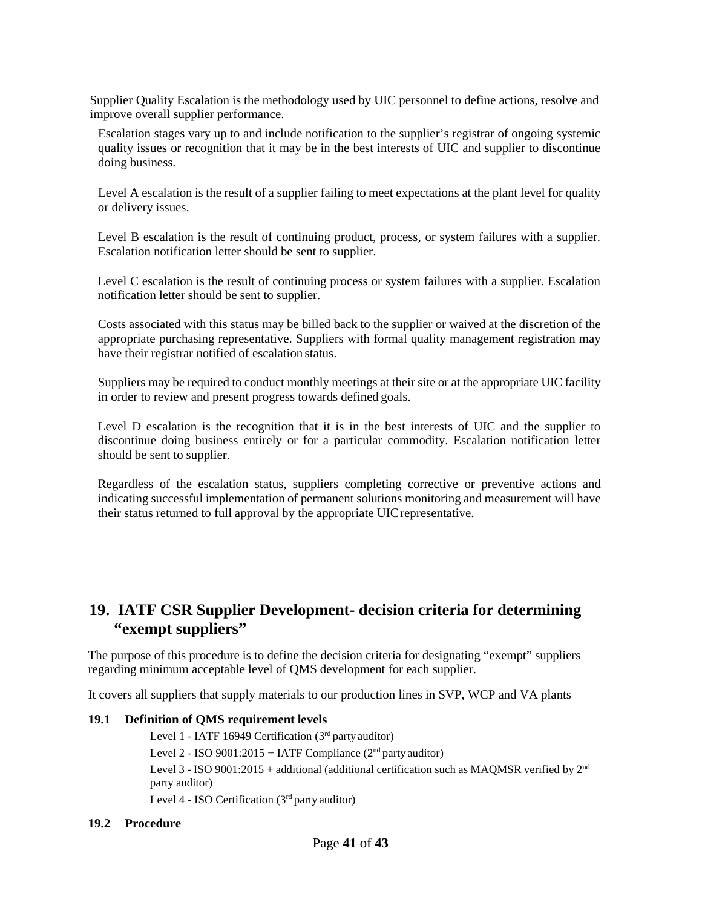Supplier Quality Escalation is the methodology used by UIC personnel to define actions, resolve and improve overall supplier performance.

Escalation stages vary up to and include notification to the supplier's registrar of ongoing systemic quality issues or recognition that it may be in the best interests of UIC and supplier to discontinue doing business.

Level A escalation is the result of a supplier failing to meet expectations at the plant level for quality or delivery issues.

Level B escalation is the result of continuing product, process, or system failures with a supplier. Escalation notification letter should be sent to supplier.

Level C escalation is the result of continuing process or system failures with a supplier. Escalation notification letter should be sent to supplier.

Costs associated with this status may be billed back to the supplier or waived at the discretion of the appropriate purchasing representative. Suppliers with formal quality management registration may have their registrar notified of escalation status.

Suppliers may be required to conduct monthly meetings at their site or at the appropriate UIC facility in order to review and present progress towards defined goals.

Level D escalation is the recognition that it is in the best interests of UIC and the supplier to discontinue doing business entirely or for a particular commodity. Escalation notification letter should be sent to supplier.

Regardless of the escalation status, suppliers completing corrective or preventive actions and indicating successful implementation of permanent solutions monitoring and measurement will have their status returned to full approval by the appropriate UICrepresentative.

### <span id="page-40-0"></span>**19. IATF CSR Supplier Development- decision criteria for determining "exempt suppliers"**

The purpose of this procedure is to define the decision criteria for designating "exempt" suppliers regarding minimum acceptable level of QMS development for each supplier.

It covers all suppliers that supply materials to our production lines in SVP, WCP and VA plants

#### **19.1 Definition of QMS requirement levels**

Level 1 - IATF 16949 Certification (3rd party auditor) Level 2 - ISO 9001:2015 + IATF Compliance  $(2<sup>nd</sup>$  party auditor) Level 3 - ISO 9001:2015 + additional (additional certification such as MAQMSR verified by  $2<sup>nd</sup>$ party auditor) Level  $4$  - ISO Certification ( $3<sup>rd</sup>$  party auditor)

#### **19.2 Procedure**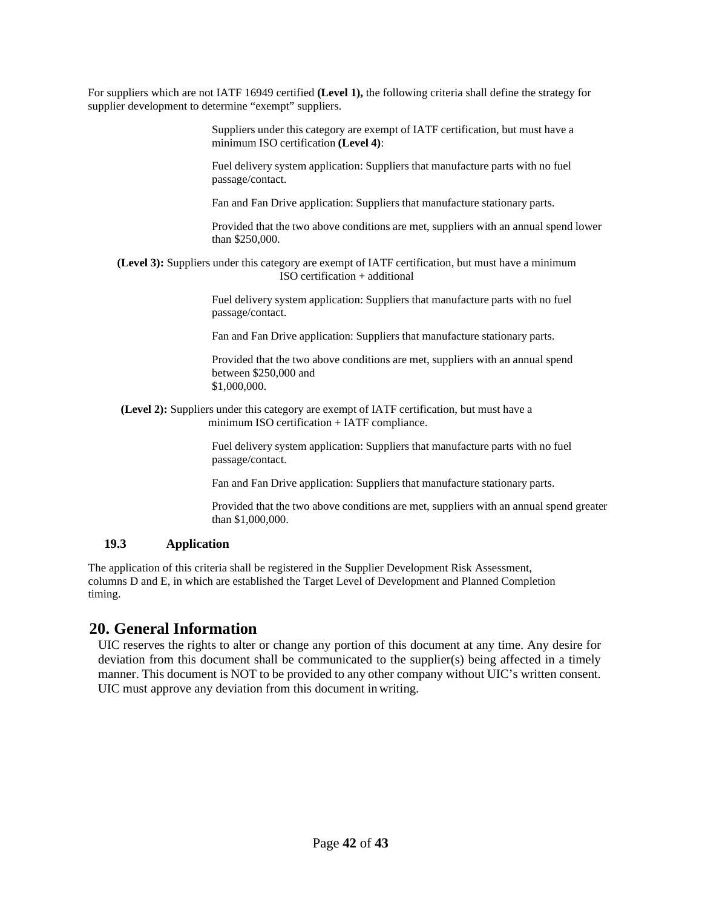For suppliers which are not IATF 16949 certified **(Level 1),** the following criteria shall define the strategy for supplier development to determine "exempt" suppliers.

> Suppliers under this category are exempt of IATF certification, but must have a minimum ISO certification **(Level 4)**:

Fuel delivery system application: Suppliers that manufacture parts with no fuel passage/contact.

Fan and Fan Drive application: Suppliers that manufacture stationary parts.

Provided that the two above conditions are met, suppliers with an annual spend lower than \$250,000.

**(Level 3):** Suppliers under this category are exempt of IATF certification, but must have a minimum ISO certification + additional

> Fuel delivery system application: Suppliers that manufacture parts with no fuel passage/contact.

Fan and Fan Drive application: Suppliers that manufacture stationary parts.

Provided that the two above conditions are met, suppliers with an annual spend between \$250,000 and \$1,000,000.

 **(Level 2):** Suppliers under this category are exempt of IATF certification, but must have a minimum ISO certification + IATF compliance.

> Fuel delivery system application: Suppliers that manufacture parts with no fuel passage/contact.

Fan and Fan Drive application: Suppliers that manufacture stationary parts.

Provided that the two above conditions are met, suppliers with an annual spend greater than \$1,000,000.

#### **19.3 Application**

The application of this criteria shall be registered in the Supplier Development Risk Assessment, columns D and E, in which are established the Target Level of Development and Planned Completion timing.

#### **20. General Information**

UIC reserves the rights to alter or change any portion of this document at any time. Any desire for deviation from this document shall be communicated to the supplier(s) being affected in a timely manner. This document is NOT to be provided to any other company without UIC's written consent. UIC must approve any deviation from this document in writing.